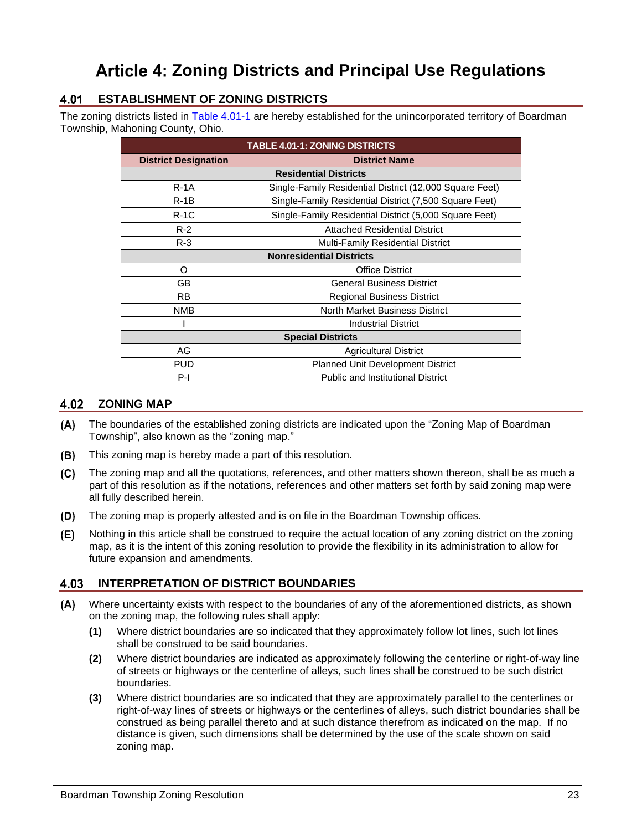# **Article 4: Zoning Districts and Principal Use Regulations**

# **ESTABLISHMENT OF ZONING DISTRICTS**

The zoning districts listed in [Table 4.01-1](#page-0-0) are hereby established for the unincorporated territory of Boardman Township, Mahoning County, Ohio.

<span id="page-0-0"></span>

| <b>TABLE 4.01-1: ZONING DISTRICTS</b>             |                                                         |  |  |  |  |  |  |  |  |
|---------------------------------------------------|---------------------------------------------------------|--|--|--|--|--|--|--|--|
| <b>District Designation</b>                       | <b>District Name</b>                                    |  |  |  |  |  |  |  |  |
| <b>Residential Districts</b>                      |                                                         |  |  |  |  |  |  |  |  |
| $R - 1A$                                          | Single-Family Residential District (12,000 Square Feet) |  |  |  |  |  |  |  |  |
| $R-1B$                                            | Single-Family Residential District (7,500 Square Feet)  |  |  |  |  |  |  |  |  |
| $R-1C$                                            | Single-Family Residential District (5,000 Square Feet)  |  |  |  |  |  |  |  |  |
| $R-2$                                             | <b>Attached Residential District</b>                    |  |  |  |  |  |  |  |  |
| $R-3$<br><b>Multi-Family Residential District</b> |                                                         |  |  |  |  |  |  |  |  |
| <b>Nonresidential Districts</b>                   |                                                         |  |  |  |  |  |  |  |  |
| O                                                 | <b>Office District</b>                                  |  |  |  |  |  |  |  |  |
| GВ                                                | <b>General Business District</b>                        |  |  |  |  |  |  |  |  |
| RB.                                               | <b>Regional Business District</b>                       |  |  |  |  |  |  |  |  |
| <b>NMB</b>                                        | North Market Business District                          |  |  |  |  |  |  |  |  |
|                                                   | <b>Industrial District</b>                              |  |  |  |  |  |  |  |  |
| <b>Special Districts</b>                          |                                                         |  |  |  |  |  |  |  |  |
| AG                                                | <b>Agricultural District</b>                            |  |  |  |  |  |  |  |  |
| PUD                                               | <b>Planned Unit Development District</b>                |  |  |  |  |  |  |  |  |
| $P-I$                                             | <b>Public and Institutional District</b>                |  |  |  |  |  |  |  |  |

# **4.02 ZONING MAP**

- The boundaries of the established zoning districts are indicated upon the "Zoning Map of Boardman Township", also known as the "zoning map."
- $(B)$ This zoning map is hereby made a part of this resolution.
- The zoning map and all the quotations, references, and other matters shown thereon, shall be as much a  $(C)$ part of this resolution as if the notations, references and other matters set forth by said zoning map were all fully described herein.
- $(D)$ The zoning map is properly attested and is on file in the Boardman Township offices.
- Nothing in this article shall be construed to require the actual location of any zoning district on the zoning (E) map, as it is the intent of this zoning resolution to provide the flexibility in its administration to allow for future expansion and amendments.

# **INTERPRETATION OF DISTRICT BOUNDARIES**

- Where uncertainty exists with respect to the boundaries of any of the aforementioned districts, as shown on the zoning map, the following rules shall apply:
	- **(1)** Where district boundaries are so indicated that they approximately follow lot lines, such lot lines shall be construed to be said boundaries.
	- **(2)** Where district boundaries are indicated as approximately following the centerline or right-of-way line of streets or highways or the centerline of alleys, such lines shall be construed to be such district boundaries.
	- **(3)** Where district boundaries are so indicated that they are approximately parallel to the centerlines or right-of-way lines of streets or highways or the centerlines of alleys, such district boundaries shall be construed as being parallel thereto and at such distance therefrom as indicated on the map. If no distance is given, such dimensions shall be determined by the use of the scale shown on said zoning map.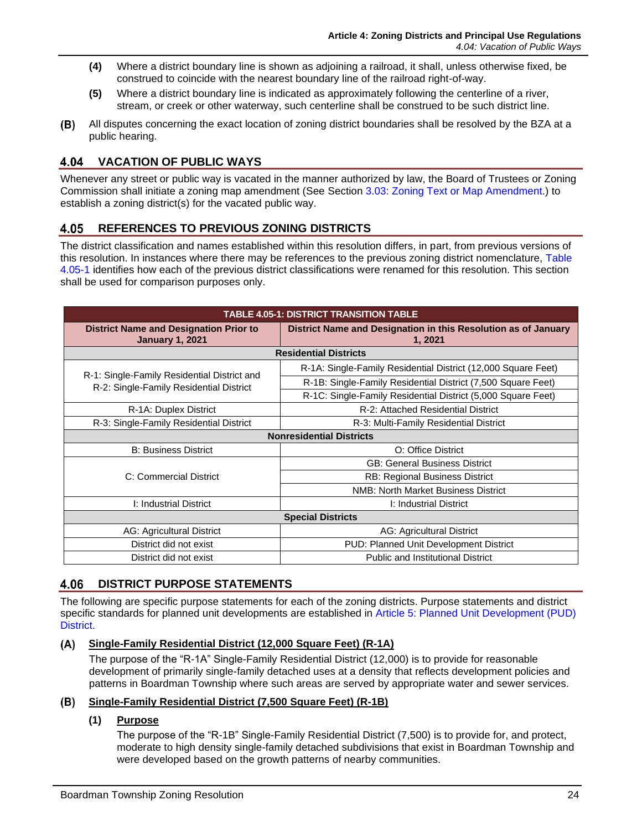- **(4)** Where a district boundary line is shown as adjoining a railroad, it shall, unless otherwise fixed, be construed to coincide with the nearest boundary line of the railroad right-of-way.
- **(5)** Where a district boundary line is indicated as approximately following the centerline of a river, stream, or creek or other waterway, such centerline shall be construed to be such district line.
- $(B)$ All disputes concerning the exact location of zoning district boundaries shall be resolved by the BZA at a public hearing.

# **VACATION OF PUBLIC WAYS**

Whenever any street or public way is vacated in the manner authorized by law, the Board of Trustees or Zoning Commission shall initiate a zoning map amendment (See Section 3.03: Zoning Text or Map Amendment.) to establish a zoning district(s) for the vacated public way.

#### 4.05 **REFERENCES TO PREVIOUS ZONING DISTRICTS**

The district classification and names established within this resolution differs, in part, from previous versions of this resolution. In instances where there may be references to the previous zoning district nomenclature, [Table](#page-1-0)  [4.05-1](#page-1-0) identifies how each of the previous district classifications were renamed for this resolution. This section shall be used for comparison purposes only.

<span id="page-1-0"></span>

| <b>TABLE 4.05-1: DISTRICT TRANSITION TABLE</b>                                                                                                       |                                                               |  |  |  |  |  |  |  |
|------------------------------------------------------------------------------------------------------------------------------------------------------|---------------------------------------------------------------|--|--|--|--|--|--|--|
| <b>District Name and Designation Prior to</b><br>District Name and Designation in this Resolution as of January<br><b>January 1, 2021</b><br>1, 2021 |                                                               |  |  |  |  |  |  |  |
| <b>Residential Districts</b>                                                                                                                         |                                                               |  |  |  |  |  |  |  |
|                                                                                                                                                      | R-1A: Single-Family Residential District (12,000 Square Feet) |  |  |  |  |  |  |  |
| R-1: Single-Family Residential District and<br>R-2: Single-Family Residential District                                                               | R-1B: Single-Family Residential District (7,500 Square Feet)  |  |  |  |  |  |  |  |
|                                                                                                                                                      | R-1C: Single-Family Residential District (5,000 Square Feet)  |  |  |  |  |  |  |  |
| R-1A: Duplex District                                                                                                                                | R-2: Attached Residential District                            |  |  |  |  |  |  |  |
| R-3: Single-Family Residential District<br>R-3: Multi-Family Residential District                                                                    |                                                               |  |  |  |  |  |  |  |
|                                                                                                                                                      | <b>Nonresidential Districts</b>                               |  |  |  |  |  |  |  |
| <b>B: Business District</b>                                                                                                                          | O: Office District                                            |  |  |  |  |  |  |  |
|                                                                                                                                                      | <b>GB: General Business District</b>                          |  |  |  |  |  |  |  |
| C: Commercial District                                                                                                                               | RB: Regional Business District                                |  |  |  |  |  |  |  |
|                                                                                                                                                      | <b>NMB: North Market Business District</b>                    |  |  |  |  |  |  |  |
| I: Industrial District                                                                                                                               | I: Industrial District                                        |  |  |  |  |  |  |  |
| <b>Special Districts</b>                                                                                                                             |                                                               |  |  |  |  |  |  |  |
| AG: Agricultural District                                                                                                                            | AG: Agricultural District                                     |  |  |  |  |  |  |  |
| District did not exist                                                                                                                               | PUD: Planned Unit Development District                        |  |  |  |  |  |  |  |
| District did not exist<br><b>Public and Institutional District</b>                                                                                   |                                                               |  |  |  |  |  |  |  |

#### 4.06 **DISTRICT PURPOSE STATEMENTS**

The following are specific purpose statements for each of the zoning districts. Purpose statements and district specific standards for planned unit developments are established in Article 5: Planned Unit Development (PUD) **District** 

#### $(A)$ **Single-Family Residential District (12,000 Square Feet) (R-1A)**

The purpose of the "R-1A" Single-Family Residential District (12,000) is to provide for reasonable development of primarily single-family detached uses at a density that reflects development policies and patterns in Boardman Township where such areas are served by appropriate water and sewer services.

# **Single-Family Residential District (7,500 Square Feet) (R-1B)**

# **(1) Purpose**

The purpose of the "R-1B" Single-Family Residential District (7,500) is to provide for, and protect, moderate to high density single-family detached subdivisions that exist in Boardman Township and were developed based on the growth patterns of nearby communities.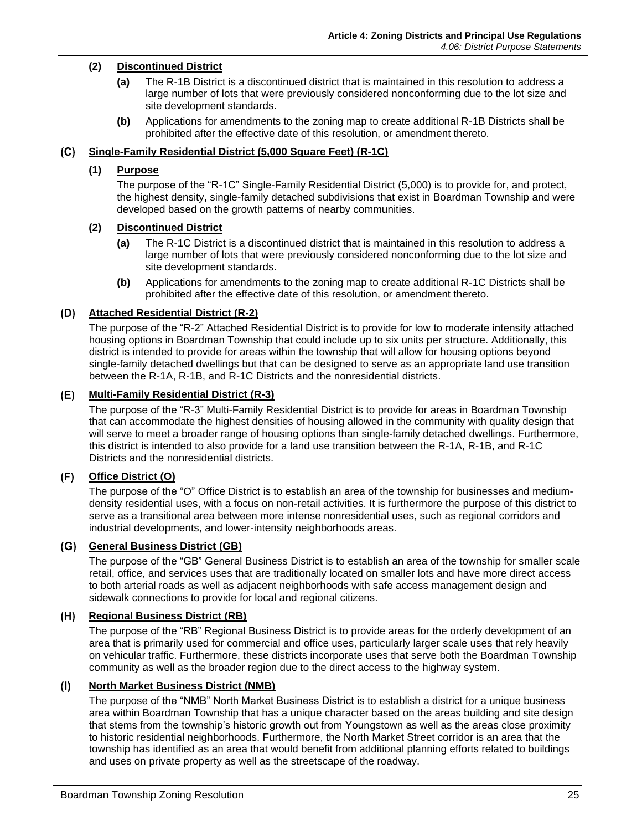# **(2) Discontinued District**

- **(a)** The R-1B District is a discontinued district that is maintained in this resolution to address a large number of lots that were previously considered nonconforming due to the lot size and site development standards.
- **(b)** Applications for amendments to the zoning map to create additional R-1B Districts shall be prohibited after the effective date of this resolution, or amendment thereto.

#### **Single-Family Residential District (5,000 Square Feet) (R-1C)**

#### **(1) Purpose**

The purpose of the "R-1C" Single-Family Residential District (5,000) is to provide for, and protect, the highest density, single-family detached subdivisions that exist in Boardman Township and were developed based on the growth patterns of nearby communities.

#### **(2) Discontinued District**

- **(a)** The R-1C District is a discontinued district that is maintained in this resolution to address a large number of lots that were previously considered nonconforming due to the lot size and site development standards.
- **(b)** Applications for amendments to the zoning map to create additional R-1C Districts shall be prohibited after the effective date of this resolution, or amendment thereto.

#### **Attached Residential District (R-2)**

The purpose of the "R-2" Attached Residential District is to provide for low to moderate intensity attached housing options in Boardman Township that could include up to six units per structure. Additionally, this district is intended to provide for areas within the township that will allow for housing options beyond single-family detached dwellings but that can be designed to serve as an appropriate land use transition between the R-1A, R-1B, and R-1C Districts and the nonresidential districts.

#### **Multi-Family Residential District (R-3)**

The purpose of the "R-3" Multi-Family Residential District is to provide for areas in Boardman Township that can accommodate the highest densities of housing allowed in the community with quality design that will serve to meet a broader range of housing options than single-family detached dwellings. Furthermore, this district is intended to also provide for a land use transition between the R-1A, R-1B, and R-1C Districts and the nonresidential districts.

#### $(F)$ **Office District (O)**

The purpose of the "O" Office District is to establish an area of the township for businesses and mediumdensity residential uses, with a focus on non-retail activities. It is furthermore the purpose of this district to serve as a transitional area between more intense nonresidential uses, such as regional corridors and industrial developments, and lower-intensity neighborhoods areas.

#### **General Business District (GB)**

The purpose of the "GB" General Business District is to establish an area of the township for smaller scale retail, office, and services uses that are traditionally located on smaller lots and have more direct access to both arterial roads as well as adjacent neighborhoods with safe access management design and sidewalk connections to provide for local and regional citizens.

# **Regional Business District (RB)**

The purpose of the "RB" Regional Business District is to provide areas for the orderly development of an area that is primarily used for commercial and office uses, particularly larger scale uses that rely heavily on vehicular traffic. Furthermore, these districts incorporate uses that serve both the Boardman Township community as well as the broader region due to the direct access to the highway system.

#### $(1)$ **North Market Business District (NMB)**

The purpose of the "NMB" North Market Business District is to establish a district for a unique business area within Boardman Township that has a unique character based on the areas building and site design that stems from the township's historic growth out from Youngstown as well as the areas close proximity to historic residential neighborhoods. Furthermore, the North Market Street corridor is an area that the township has identified as an area that would benefit from additional planning efforts related to buildings and uses on private property as well as the streetscape of the roadway.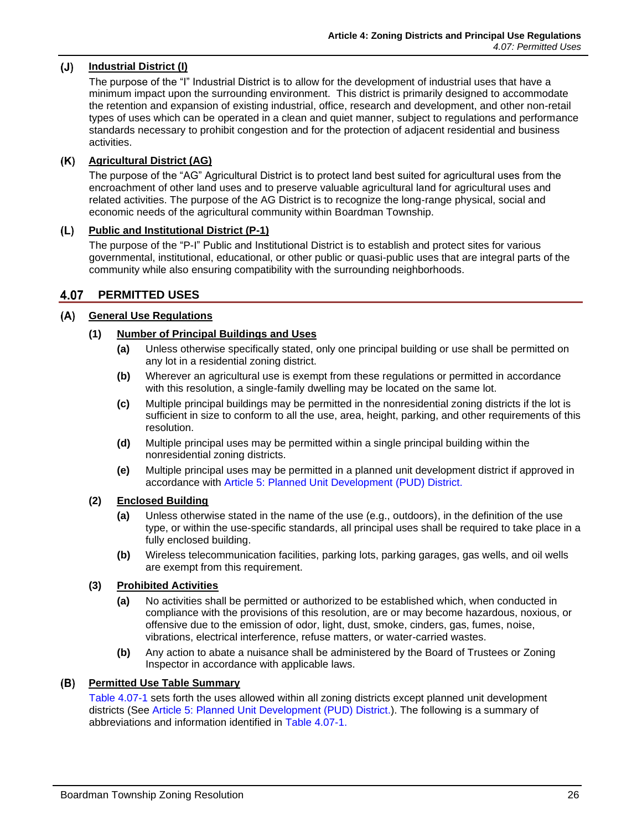#### $(J)$ **Industrial District (I)**

The purpose of the "I" Industrial District is to allow for the development of industrial uses that have a minimum impact upon the surrounding environment. This district is primarily designed to accommodate the retention and expansion of existing industrial, office, research and development, and other non-retail types of uses which can be operated in a clean and quiet manner, subject to regulations and performance standards necessary to prohibit congestion and for the protection of adjacent residential and business activities.

# **Agricultural District (AG)**

The purpose of the "AG" Agricultural District is to protect land best suited for agricultural uses from the encroachment of other land uses and to preserve valuable agricultural land for agricultural uses and related activities. The purpose of the AG District is to recognize the long-range physical, social and economic needs of the agricultural community within Boardman Township.

# **Public and Institutional District (P-1)**

The purpose of the "P-I" Public and Institutional District is to establish and protect sites for various governmental, institutional, educational, or other public or quasi-public uses that are integral parts of the community while also ensuring compatibility with the surrounding neighborhoods.

#### 4.07 **PERMITTED USES**

#### $(A)$ **General Use Regulations**

# **(1) Number of Principal Buildings and Uses**

- **(a)** Unless otherwise specifically stated, only one principal building or use shall be permitted on any lot in a residential zoning district.
- **(b)** Wherever an agricultural use is exempt from these regulations or permitted in accordance with this resolution, a single-family dwelling may be located on the same lot.
- **(c)** Multiple principal buildings may be permitted in the nonresidential zoning districts if the lot is sufficient in size to conform to all the use, area, height, parking, and other requirements of this resolution.
- **(d)** Multiple principal uses may be permitted within a single principal building within the nonresidential zoning districts.
- **(e)** Multiple principal uses may be permitted in a planned unit development district if approved in accordance with Article 5: Planned Unit Development (PUD) District.

#### **(2) Enclosed Building**

- **(a)** Unless otherwise stated in the name of the use (e.g., outdoors), in the definition of the use type, or within the use-specific standards, all principal uses shall be required to take place in a fully enclosed building.
- **(b)** Wireless telecommunication facilities, parking lots, parking garages, gas wells, and oil wells are exempt from this requirement.

# **(3) Prohibited Activities**

- **(a)** No activities shall be permitted or authorized to be established which, when conducted in compliance with the provisions of this resolution, are or may become hazardous, noxious, or offensive due to the emission of odor, light, dust, smoke, cinders, gas, fumes, noise, vibrations, electrical interference, refuse matters, or water-carried wastes.
- **(b)** Any action to abate a nuisance shall be administered by the Board of Trustees or Zoning Inspector in accordance with applicable laws.

#### **Permitted Use Table Summary**

[Table 4.07-1](#page-5-0) sets forth the uses allowed within all zoning districts except planned unit development districts (See Article 5: Planned Unit Development (PUD) District.). The following is a summary of abbreviations and information identified in [Table 4.07-1.](#page-5-0)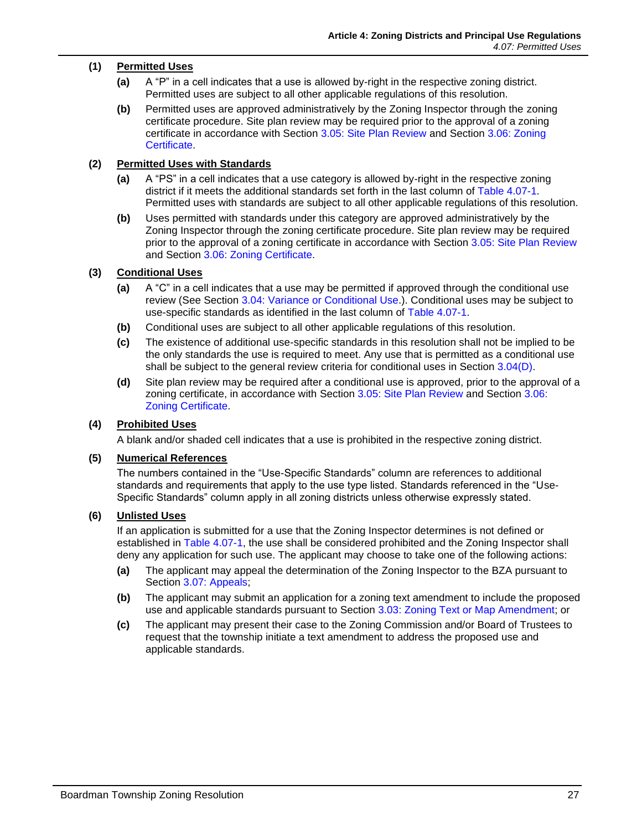# **(1) Permitted Uses**

- **(a)** A "P" in a cell indicates that a use is allowed by-right in the respective zoning district. Permitted uses are subject to all other applicable regulations of this resolution.
- **(b)** Permitted uses are approved administratively by the Zoning Inspector through the zoning certificate procedure. Site plan review may be required prior to the approval of a zoning certificate in accordance with Section 3.05: Site Plan Review and Section 3.06: Zoning **Certificate**

# **(2) Permitted Uses with Standards**

- **(a)** A "PS" in a cell indicates that a use category is allowed by-right in the respective zoning district if it meets the additional standards set forth in the last column of [Table 4.07-1.](#page-5-0) Permitted uses with standards are subject to all other applicable regulations of this resolution.
- **(b)** Uses permitted with standards under this category are approved administratively by the Zoning Inspector through the zoning certificate procedure. Site plan review may be required prior to the approval of a zoning certificate in accordance with Section 3.05: Site Plan Review and Section 3.06: Zoning Certificate.

# **(3) Conditional Uses**

- **(a)** A "C" in a cell indicates that a use may be permitted if approved through the conditional use review (See Section 3.04: Variance or Conditional Use.). Conditional uses may be subject to use-specific standards as identified in the last column of [Table 4.07-1.](#page-5-0)
- **(b)** Conditional uses are subject to all other applicable regulations of this resolution.
- **(c)** The existence of additional use-specific standards in this resolution shall not be implied to be the only standards the use is required to meet. Any use that is permitted as a conditional use shall be subject to the general review criteria for conditional uses in Section  $3.04(D)$ .
- **(d)** Site plan review may be required after a conditional use is approved, prior to the approval of a zoning certificate, in accordance with Section 3.05: Site Plan Review and Section 3.06: Zoning Certificate.

# **(4) Prohibited Uses**

A blank and/or shaded cell indicates that a use is prohibited in the respective zoning district.

# **(5) Numerical References**

The numbers contained in the "Use-Specific Standards" column are references to additional standards and requirements that apply to the use type listed. Standards referenced in the "Use-Specific Standards" column apply in all zoning districts unless otherwise expressly stated.

# **(6) Unlisted Uses**

If an application is submitted for a use that the Zoning Inspector determines is not defined or established in [Table 4.07-1,](#page-5-0) the use shall be considered prohibited and the Zoning Inspector shall deny any application for such use. The applicant may choose to take one of the following actions:

- **(a)** The applicant may appeal the determination of the Zoning Inspector to the BZA pursuant to Section 3.07: Appeals;
- **(b)** The applicant may submit an application for a zoning text amendment to include the proposed use and applicable standards pursuant to Section 3.03: Zoning Text or Map Amendment; or
- **(c)** The applicant may present their case to the Zoning Commission and/or Board of Trustees to request that the township initiate a text amendment to address the proposed use and applicable standards.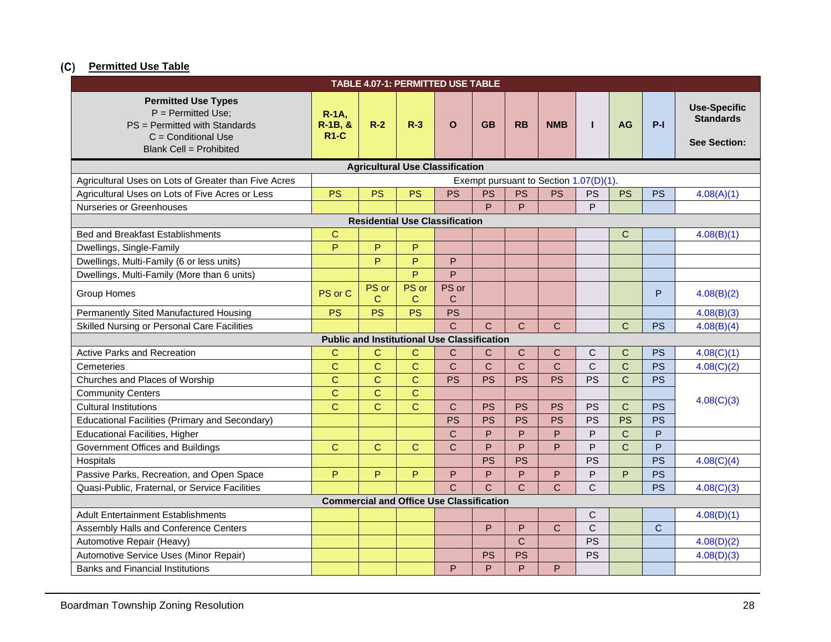# **Permitted Use Table**

<span id="page-5-0"></span>

| TABLE 4.07-1: PERMITTED USE TABLE                                                                                                               |                                        |              |                |                                                    |                |              |              |                |                |              |                                                                |
|-------------------------------------------------------------------------------------------------------------------------------------------------|----------------------------------------|--------------|----------------|----------------------------------------------------|----------------|--------------|--------------|----------------|----------------|--------------|----------------------------------------------------------------|
| <b>Permitted Use Types</b><br>$P = Permitted Use$ ;<br>PS = Permitted with Standards<br>$C =$ Conditional Use<br><b>Blank Cell = Prohibited</b> | $R-1A$ ,<br>R-1B, &<br><b>R1-C</b>     | $R-2$        | $R-3$          | $\Omega$                                           | <b>GB</b>      | <b>RB</b>    | <b>NMB</b>   | $\mathbf{I}$   | <b>AG</b>      | $P-I$        | <b>Use-Specific</b><br><b>Standards</b><br><b>See Section:</b> |
| <b>Agricultural Use Classification</b>                                                                                                          |                                        |              |                |                                                    |                |              |              |                |                |              |                                                                |
| Agricultural Uses on Lots of Greater than Five Acres                                                                                            | Exempt pursuant to Section 1.07(D)(1). |              |                |                                                    |                |              |              |                |                |              |                                                                |
| Agricultural Uses on Lots of Five Acres or Less                                                                                                 | <b>PS</b>                              | <b>PS</b>    | <b>PS</b>      | <b>PS</b>                                          | <b>PS</b>      | <b>PS</b>    | <b>PS</b>    | PS             | <b>PS</b>      | <b>PS</b>    | 4.08(A)(1)                                                     |
| <b>Nurseries or Greenhouses</b>                                                                                                                 |                                        |              |                |                                                    | Þ              | P            |              | P              |                |              |                                                                |
|                                                                                                                                                 |                                        |              |                | <b>Residential Use Classification</b>              |                |              |              |                |                |              |                                                                |
| <b>Bed and Breakfast Establishments</b>                                                                                                         | $\overline{C}$                         |              |                |                                                    |                |              |              |                | C              |              | 4.08(B)(1)                                                     |
| Dwellings, Single-Family                                                                                                                        | P                                      | P            | P              |                                                    |                |              |              |                |                |              |                                                                |
| Dwellings, Multi-Family (6 or less units)                                                                                                       |                                        | P            | P              | P                                                  |                |              |              |                |                |              |                                                                |
| Dwellings, Multi-Family (More than 6 units)                                                                                                     |                                        |              | P              | P                                                  |                |              |              |                |                |              |                                                                |
| Group Homes                                                                                                                                     | PS or C                                | PS or<br>C   | PS or<br>C     | PS or<br>C                                         |                |              |              |                |                | P            | 4.08(B)(2)                                                     |
| Permanently Sited Manufactured Housing                                                                                                          | <b>PS</b>                              | <b>PS</b>    | <b>PS</b>      | <b>PS</b>                                          |                |              |              |                |                |              | 4.08(B)(3)                                                     |
| <b>Skilled Nursing or Personal Care Facilities</b>                                                                                              |                                        |              |                | $\overline{C}$                                     | $\overline{C}$ | $\mathsf{C}$ | $\mathsf{C}$ |                | $\overline{C}$ | <b>PS</b>    | 4.08(B)(4)                                                     |
|                                                                                                                                                 |                                        |              |                | <b>Public and Institutional Use Classification</b> |                |              |              |                |                |              |                                                                |
| <b>Active Parks and Recreation</b>                                                                                                              | C                                      | $\mathsf{C}$ | $\mathbf C$    | C                                                  | C              | $\mathsf{C}$ | C            | C              | C              | <b>PS</b>    | 4.08(C)(1)                                                     |
| Cemeteries                                                                                                                                      | $\overline{C}$                         | $\mathbf C$  | $\mathbf C$    | $\overline{C}$                                     | $\mathsf{C}$   | $\mathsf{C}$ | $\mathsf{C}$ | $\overline{C}$ | $\overline{C}$ | <b>PS</b>    | 4.08(C)(2)                                                     |
| Churches and Places of Worship                                                                                                                  | C                                      | $\mathbf C$  | $\mathbf C$    | <b>PS</b>                                          | <b>PS</b>      | <b>PS</b>    | <b>PS</b>    | <b>PS</b>      | $\overline{C}$ | <b>PS</b>    |                                                                |
| <b>Community Centers</b>                                                                                                                        | $\overline{C}$                         | $\mathbf C$  | $\overline{C}$ |                                                    |                |              |              |                |                |              |                                                                |
| <b>Cultural Institutions</b>                                                                                                                    | $\overline{C}$                         | $\mathbf C$  | $\mathbf C$    | $\mathsf{C}$                                       | <b>PS</b>      | <b>PS</b>    | <b>PS</b>    | <b>PS</b>      | $\overline{C}$ | <b>PS</b>    | 4.08(C)(3)                                                     |
| <b>Educational Facilities (Primary and Secondary)</b>                                                                                           |                                        |              |                | <b>PS</b>                                          | <b>PS</b>      | <b>PS</b>    | <b>PS</b>    | <b>PS</b>      | <b>PS</b>      | <b>PS</b>    |                                                                |
| <b>Educational Facilities, Higher</b>                                                                                                           |                                        |              |                | $\overline{C}$                                     | P              | P            | P            | P              | $\overline{C}$ | P            |                                                                |
| Government Offices and Buildings                                                                                                                | $\overline{C}$                         | $\mathbf C$  | $\mathbf C$    | $\overline{C}$                                     | P              | P            | P            | P              | $\overline{C}$ | $\mathsf{P}$ |                                                                |
| Hospitals                                                                                                                                       |                                        |              |                |                                                    | <b>PS</b>      | <b>PS</b>    |              | <b>PS</b>      |                | <b>PS</b>    | 4.08(C)(4)                                                     |
| Passive Parks, Recreation, and Open Space                                                                                                       | P                                      | P            | P              | P                                                  | P              | P            | P            | P              | P              | <b>PS</b>    |                                                                |
| Quasi-Public, Fraternal, or Service Facilities                                                                                                  |                                        |              |                | $\overline{C}$                                     | $\mathsf{C}$   | $\mathsf{C}$ | $\mathsf{C}$ | $\overline{C}$ |                | PS           | 4.08(C)(3)                                                     |
| <b>Commercial and Office Use Classification</b>                                                                                                 |                                        |              |                |                                                    |                |              |              |                |                |              |                                                                |
| <b>Adult Entertainment Establishments</b>                                                                                                       |                                        |              |                |                                                    |                |              |              | C              |                |              | 4.08(D)(1)                                                     |
| Assembly Halls and Conference Centers                                                                                                           |                                        |              |                |                                                    | P              | P            | $\mathbf C$  | $\overline{C}$ |                | $\mathsf{C}$ |                                                                |
| Automotive Repair (Heavy)                                                                                                                       |                                        |              |                |                                                    |                | $\mathsf{C}$ |              | <b>PS</b>      |                |              | 4.08(D)(2)                                                     |
| Automotive Service Uses (Minor Repair)                                                                                                          |                                        |              |                |                                                    | <b>PS</b>      | <b>PS</b>    |              | <b>PS</b>      |                |              | 4.08(D)(3)                                                     |
| <b>Banks and Financial Institutions</b>                                                                                                         |                                        |              |                | P                                                  | P              | P            | P            |                |                |              |                                                                |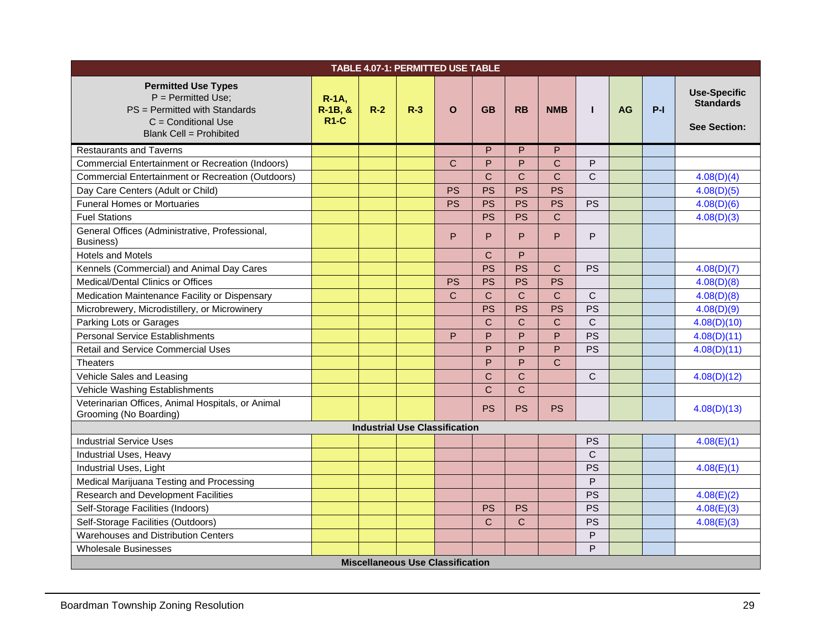| <b>TABLE 4.07-1: PERMITTED USE TABLE</b>                                                                                                        |                                 |       |                                      |              |              |              |              |              |           |       |                                                                |
|-------------------------------------------------------------------------------------------------------------------------------------------------|---------------------------------|-------|--------------------------------------|--------------|--------------|--------------|--------------|--------------|-----------|-------|----------------------------------------------------------------|
| <b>Permitted Use Types</b><br>$P = Permitted Use$ ;<br>PS = Permitted with Standards<br>$C =$ Conditional Use<br><b>Blank Cell = Prohibited</b> | $R-1A$ ,<br>$R-1B, &$<br>$R1-C$ | $R-2$ | $R-3$                                | $\Omega$     | <b>GB</b>    | <b>RB</b>    | <b>NMB</b>   | $\mathbf{I}$ | <b>AG</b> | $P-I$ | <b>Use-Specific</b><br><b>Standards</b><br><b>See Section:</b> |
| <b>Restaurants and Taverns</b>                                                                                                                  |                                 |       |                                      |              | P            | P            | P            |              |           |       |                                                                |
| <b>Commercial Entertainment or Recreation (Indoors)</b>                                                                                         |                                 |       |                                      | $\mathbf C$  | P            | P            | $\mathsf{C}$ | P            |           |       |                                                                |
| <b>Commercial Entertainment or Recreation (Outdoors)</b>                                                                                        |                                 |       |                                      |              | $\mathsf{C}$ | $\mathbf{C}$ | $\mathsf{C}$ | C            |           |       | 4.08(D)(4)                                                     |
| Day Care Centers (Adult or Child)                                                                                                               |                                 |       |                                      | <b>PS</b>    | <b>PS</b>    | <b>PS</b>    | <b>PS</b>    |              |           |       | 4.08(D)(5)                                                     |
| <b>Funeral Homes or Mortuaries</b>                                                                                                              |                                 |       |                                      | <b>PS</b>    | <b>PS</b>    | <b>PS</b>    | <b>PS</b>    | <b>PS</b>    |           |       | 4.08(D)(6)                                                     |
| <b>Fuel Stations</b>                                                                                                                            |                                 |       |                                      |              | <b>PS</b>    | <b>PS</b>    | $\mathsf{C}$ |              |           |       | 4.08(D)(3)                                                     |
| General Offices (Administrative, Professional,<br>Business)                                                                                     |                                 |       |                                      | P            | P            | P            | P            | P            |           |       |                                                                |
| <b>Hotels and Motels</b>                                                                                                                        |                                 |       |                                      |              | $\mathsf{C}$ | P            |              |              |           |       |                                                                |
| Kennels (Commercial) and Animal Day Cares                                                                                                       |                                 |       |                                      |              | <b>PS</b>    | <b>PS</b>    | $\mathbf C$  | PS           |           |       | 4.08(D)(7)                                                     |
| Medical/Dental Clinics or Offices                                                                                                               |                                 |       |                                      | <b>PS</b>    | <b>PS</b>    | <b>PS</b>    | <b>PS</b>    |              |           |       | 4.08(D)(8)                                                     |
| Medication Maintenance Facility or Dispensary                                                                                                   |                                 |       |                                      | $\mathsf{C}$ | $\mathsf{C}$ | $\mathbf C$  | $\mathsf{C}$ | $\mathsf{C}$ |           |       | 4.08(D)(8)                                                     |
| Microbrewery, Microdistillery, or Microwinery                                                                                                   |                                 |       |                                      |              | <b>PS</b>    | <b>PS</b>    | <b>PS</b>    | PS           |           |       | 4.08(D)(9)                                                     |
| Parking Lots or Garages                                                                                                                         |                                 |       |                                      |              | $\mathsf{C}$ | $\mathsf{C}$ | $\mathsf{C}$ | $\mathsf{C}$ |           |       | 4.08(D)(10)                                                    |
| <b>Personal Service Establishments</b>                                                                                                          |                                 |       |                                      | P            | P            | P            | P            | PS           |           |       | 4.08(D)(11)                                                    |
| <b>Retail and Service Commercial Uses</b>                                                                                                       |                                 |       |                                      |              | P            | P            | P            | <b>PS</b>    |           |       | 4.08(D)(11)                                                    |
| <b>Theaters</b>                                                                                                                                 |                                 |       |                                      |              | P            | P            | $\mathsf{C}$ |              |           |       |                                                                |
| Vehicle Sales and Leasing                                                                                                                       |                                 |       |                                      |              | $\mathsf{C}$ | $\mathbf C$  |              | $\mathsf{C}$ |           |       | 4.08(D)(12)                                                    |
| Vehicle Washing Establishments                                                                                                                  |                                 |       |                                      |              | $\mathsf{C}$ | $\mathsf{C}$ |              |              |           |       |                                                                |
| Veterinarian Offices, Animal Hospitals, or Animal<br>Grooming (No Boarding)                                                                     |                                 |       |                                      |              | <b>PS</b>    | <b>PS</b>    | <b>PS</b>    |              |           |       | 4.08(D)(13)                                                    |
|                                                                                                                                                 |                                 |       | <b>Industrial Use Classification</b> |              |              |              |              |              |           |       |                                                                |
| <b>Industrial Service Uses</b>                                                                                                                  |                                 |       |                                      |              |              |              |              | <b>PS</b>    |           |       | 4.08(E)(1)                                                     |
| Industrial Uses, Heavy                                                                                                                          |                                 |       |                                      |              |              |              |              | $\mathsf{C}$ |           |       |                                                                |
| Industrial Uses, Light                                                                                                                          |                                 |       |                                      |              |              |              |              | PS           |           |       | 4.08(E)(1)                                                     |
| Medical Marijuana Testing and Processing                                                                                                        |                                 |       |                                      |              |              |              |              | P            |           |       |                                                                |
| Research and Development Facilities                                                                                                             |                                 |       |                                      |              |              |              |              | <b>PS</b>    |           |       | 4.08(E)(2)                                                     |
| Self-Storage Facilities (Indoors)                                                                                                               |                                 |       |                                      |              | <b>PS</b>    | <b>PS</b>    |              | PS           |           |       | 4.08(E)(3)                                                     |
| Self-Storage Facilities (Outdoors)                                                                                                              |                                 |       |                                      |              | $\mathsf{C}$ | C            |              | PS           |           |       | 4.08(E)(3)                                                     |
| Warehouses and Distribution Centers                                                                                                             |                                 |       |                                      |              |              |              |              | P            |           |       |                                                                |
| P<br><b>Wholesale Businesses</b>                                                                                                                |                                 |       |                                      |              |              |              |              |              |           |       |                                                                |
| <b>Miscellaneous Use Classification</b>                                                                                                         |                                 |       |                                      |              |              |              |              |              |           |       |                                                                |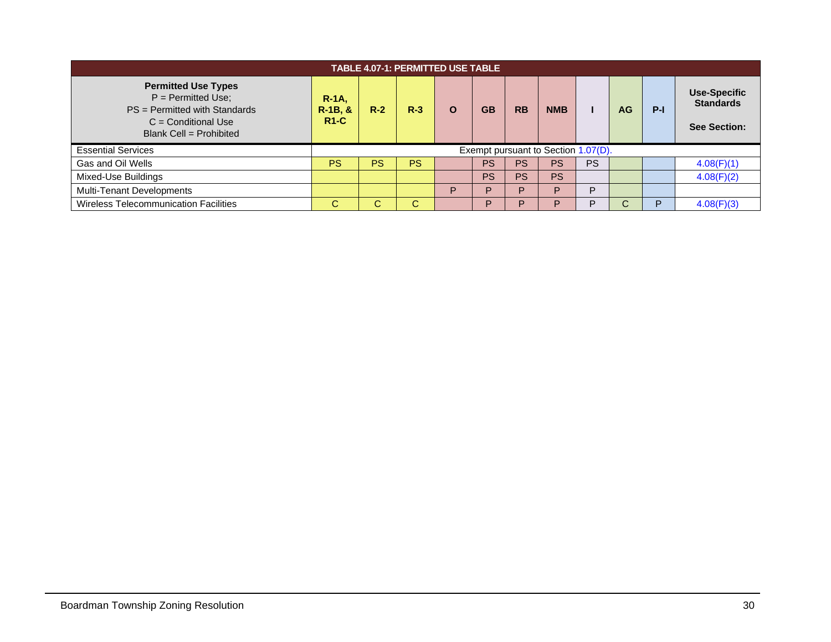| <b>TABLE 4.07-1: PERMITTED USE TABLE</b>                                                                                                  |                                     |       |           |   |           |           |            |           |           |       |                                                                |
|-------------------------------------------------------------------------------------------------------------------------------------------|-------------------------------------|-------|-----------|---|-----------|-----------|------------|-----------|-----------|-------|----------------------------------------------------------------|
| <b>Permitted Use Types</b><br>$P = Permitted Use;$<br>$PS = Permitted$ with Standards<br>$C =$ Conditional Use<br>Blank Cell = Prohibited | $R-1A$<br>$R-1B, &$<br>$R1-C$       | $R-2$ | $R-3$     | O | <b>GB</b> | <b>RB</b> | <b>NMB</b> |           | <b>AG</b> | $P-I$ | <b>Use-Specific</b><br><b>Standards</b><br><b>See Section:</b> |
| <b>Essential Services</b>                                                                                                                 | Exempt pursuant to Section 1.07(D). |       |           |   |           |           |            |           |           |       |                                                                |
| Gas and Oil Wells                                                                                                                         | <b>PS</b>                           | PS    | <b>PS</b> |   | <b>PS</b> | PS        | <b>PS</b>  | <b>PS</b> |           |       | 4.08(F)(1)                                                     |
| Mixed-Use Buildings                                                                                                                       |                                     |       |           |   | <b>PS</b> | <b>PS</b> | <b>PS</b>  |           |           |       | 4.08(F)(2)                                                     |
| Multi-Tenant Developments                                                                                                                 |                                     |       |           | Þ | ם         | D.        | P          | P         |           |       |                                                                |
| <b>Wireless Telecommunication Facilities</b>                                                                                              | C                                   |       | С         |   | Þ         |           | P          | P         | ⌒         | P     | 4.08(F)(3)                                                     |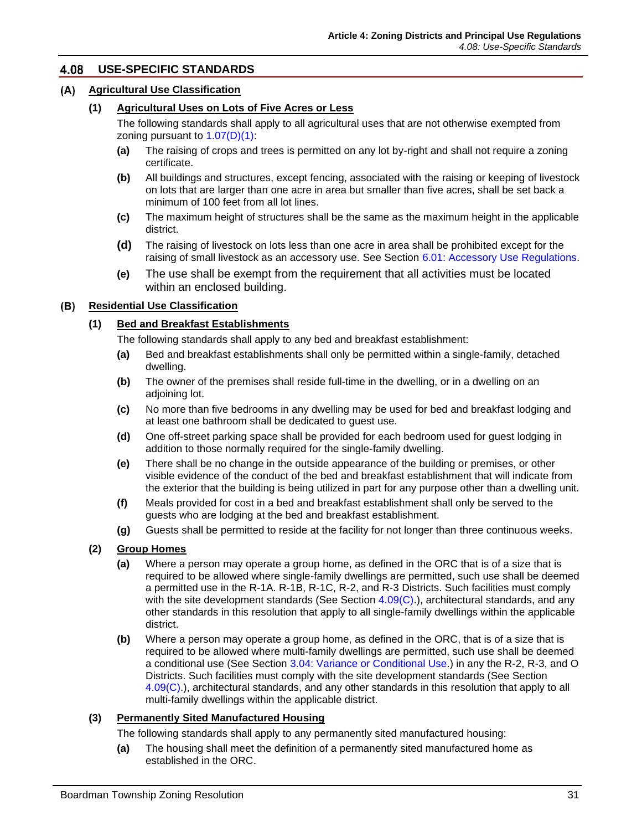#### <span id="page-8-0"></span>4.08 **USE-SPECIFIC STANDARDS**

# **Agricultural Use Classification**

#### <span id="page-8-1"></span>**(1) Agricultural Uses on Lots of Five Acres or Less**

The following standards shall apply to all agricultural uses that are not otherwise exempted from zoning pursuant to  $1.07(D)(1)$ :

- **(a)** The raising of crops and trees is permitted on any lot by-right and shall not require a zoning certificate.
- **(b)** All buildings and structures, except fencing, associated with the raising or keeping of livestock on lots that are larger than one acre in area but smaller than five acres, shall be set back a minimum of 100 feet from all lot lines.
- **(c)** The maximum height of structures shall be the same as the maximum height in the applicable district.
- **(d)** The raising of livestock on lots less than one acre in area shall be prohibited except for the raising of small livestock as an accessory use. See Section 6.01: Accessory Use Regulations.
- **(e)** The use shall be exempt from the requirement that all activities must be located within an enclosed building.

#### **Residential Use Classification**

#### <span id="page-8-2"></span>**(1) Bed and Breakfast Establishments**

The following standards shall apply to any bed and breakfast establishment:

- **(a)** Bed and breakfast establishments shall only be permitted within a single-family, detached dwelling.
- **(b)** The owner of the premises shall reside full-time in the dwelling, or in a dwelling on an adjoining lot.
- **(c)** No more than five bedrooms in any dwelling may be used for bed and breakfast lodging and at least one bathroom shall be dedicated to guest use.
- **(d)** One off-street parking space shall be provided for each bedroom used for guest lodging in addition to those normally required for the single-family dwelling.
- **(e)** There shall be no change in the outside appearance of the building or premises, or other visible evidence of the conduct of the bed and breakfast establishment that will indicate from the exterior that the building is being utilized in part for any purpose other than a dwelling unit.
- **(f)** Meals provided for cost in a bed and breakfast establishment shall only be served to the guests who are lodging at the bed and breakfast establishment.
- **(g)** Guests shall be permitted to reside at the facility for not longer than three continuous weeks.

#### <span id="page-8-3"></span>**(2) Group Homes**

- **(a)** Where a person may operate a group home, as defined in the ORC that is of a size that is required to be allowed where single-family dwellings are permitted, such use shall be deemed a permitted use in the R-1A. R-1B, R-1C, R-2, and R-3 Districts. Such facilities must comply with the site development standards (See Section  $4.09(C)$ .), architectural standards, and any other standards in this resolution that apply to all single-family dwellings within the applicable district.
- **(b)** Where a person may operate a group home, as defined in the ORC, that is of a size that is required to be allowed where multi-family dwellings are permitted, such use shall be deemed a conditional use (See Section 3.04: Variance or Conditional Use.) in any the R-2, R-3, and O Districts. Such facilities must comply with the site development standards (See Section [4.09\(C\).\)](#page-29-0), architectural standards, and any other standards in this resolution that apply to all multi-family dwellings within the applicable district.

#### **(3) Permanently Sited Manufactured Housing**

The following standards shall apply to any permanently sited manufactured housing:

**(a)** The housing shall meet the definition of a permanently sited manufactured home as established in the ORC.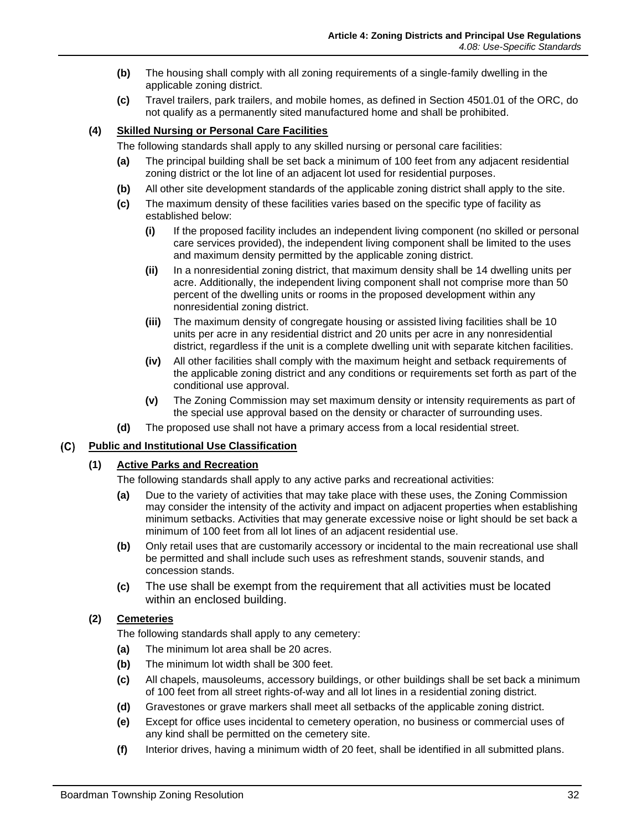- <span id="page-9-0"></span>**(b)** The housing shall comply with all zoning requirements of a single-family dwelling in the applicable zoning district.
- **(c)** Travel trailers, park trailers, and mobile homes, as defined in Section 4501.01 of the ORC, do not qualify as a permanently sited manufactured home and shall be prohibited.

# **(4) Skilled Nursing or Personal Care Facilities**

The following standards shall apply to any skilled nursing or personal care facilities:

- **(a)** The principal building shall be set back a minimum of 100 feet from any adjacent residential zoning district or the lot line of an adjacent lot used for residential purposes.
- **(b)** All other site development standards of the applicable zoning district shall apply to the site.
- <span id="page-9-1"></span>**(c)** The maximum density of these facilities varies based on the specific type of facility as established below:
	- **(i)** If the proposed facility includes an independent living component (no skilled or personal care services provided), the independent living component shall be limited to the uses and maximum density permitted by the applicable zoning district.
	- **(ii)** In a nonresidential zoning district, that maximum density shall be 14 dwelling units per acre. Additionally, the independent living component shall not comprise more than 50 percent of the dwelling units or rooms in the proposed development within any nonresidential zoning district.
	- **(iii)** The maximum density of congregate housing or assisted living facilities shall be 10 units per acre in any residential district and 20 units per acre in any nonresidential district, regardless if the unit is a complete dwelling unit with separate kitchen facilities.
	- **(iv)** All other facilities shall comply with the maximum height and setback requirements of the applicable zoning district and any conditions or requirements set forth as part of the conditional use approval.
	- **(v)** The Zoning Commission may set maximum density or intensity requirements as part of the special use approval based on the density or character of surrounding uses.
- **(d)** The proposed use shall not have a primary access from a local residential street.

# <span id="page-9-2"></span>**Public and Institutional Use Classification**

# **(1) Active Parks and Recreation**

The following standards shall apply to any active parks and recreational activities:

- **(a)** Due to the variety of activities that may take place with these uses, the Zoning Commission may consider the intensity of the activity and impact on adjacent properties when establishing minimum setbacks. Activities that may generate excessive noise or light should be set back a minimum of 100 feet from all lot lines of an adjacent residential use.
- **(b)** Only retail uses that are customarily accessory or incidental to the main recreational use shall be permitted and shall include such uses as refreshment stands, souvenir stands, and concession stands.
- **(c)** The use shall be exempt from the requirement that all activities must be located within an enclosed building.

# **(2) Cemeteries**

The following standards shall apply to any cemetery:

- **(a)** The minimum lot area shall be 20 acres.
- **(b)** The minimum lot width shall be 300 feet.
- **(c)** All chapels, mausoleums, accessory buildings, or other buildings shall be set back a minimum of 100 feet from all street rights-of-way and all lot lines in a residential zoning district.
- **(d)** Gravestones or grave markers shall meet all setbacks of the applicable zoning district.
- **(e)** Except for office uses incidental to cemetery operation, no business or commercial uses of any kind shall be permitted on the cemetery site.
- **(f)** Interior drives, having a minimum width of 20 feet, shall be identified in all submitted plans.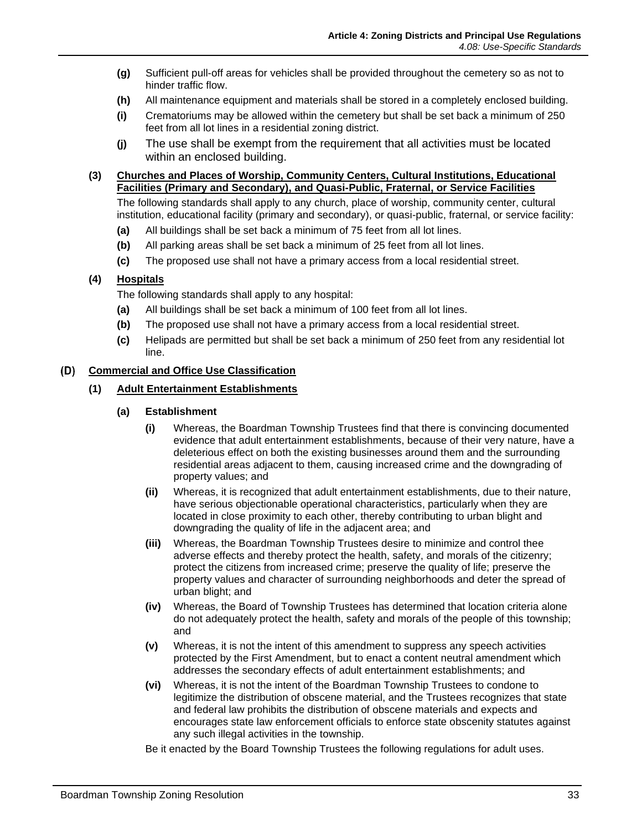- <span id="page-10-0"></span>**(g)** Sufficient pull-off areas for vehicles shall be provided throughout the cemetery so as not to hinder traffic flow.
- <span id="page-10-1"></span>**(h)** All maintenance equipment and materials shall be stored in a completely enclosed building.
- **(i)** Crematoriums may be allowed within the cemetery but shall be set back a minimum of 250 feet from all lot lines in a residential zoning district.
- **(j)** The use shall be exempt from the requirement that all activities must be located within an enclosed building.

# <span id="page-10-2"></span>**(3) Churches and Places of Worship, Community Centers, Cultural Institutions, Educational Facilities (Primary and Secondary), and Quasi-Public, Fraternal, or Service Facilities**

The following standards shall apply to any church, place of worship, community center, cultural institution, educational facility (primary and secondary), or quasi-public, fraternal, or service facility:

- **(a)** All buildings shall be set back a minimum of 75 feet from all lot lines.
- **(b)** All parking areas shall be set back a minimum of 25 feet from all lot lines.
- **(c)** The proposed use shall not have a primary access from a local residential street.

# **(4) Hospitals**

The following standards shall apply to any hospital:

- **(a)** All buildings shall be set back a minimum of 100 feet from all lot lines.
- **(b)** The proposed use shall not have a primary access from a local residential street.
- **(c)** Helipads are permitted but shall be set back a minimum of 250 feet from any residential lot line.

# **Commercial and Office Use Classification**

#### **(1) Adult Entertainment Establishments**

#### **(a) Establishment**

- **(i)** Whereas, the Boardman Township Trustees find that there is convincing documented evidence that adult entertainment establishments, because of their very nature, have a deleterious effect on both the existing businesses around them and the surrounding residential areas adjacent to them, causing increased crime and the downgrading of property values; and
- **(ii)** Whereas, it is recognized that adult entertainment establishments, due to their nature, have serious objectionable operational characteristics, particularly when they are located in close proximity to each other, thereby contributing to urban blight and downgrading the quality of life in the adjacent area; and
- **(iii)** Whereas, the Boardman Township Trustees desire to minimize and control thee adverse effects and thereby protect the health, safety, and morals of the citizenry; protect the citizens from increased crime; preserve the quality of life; preserve the property values and character of surrounding neighborhoods and deter the spread of urban blight; and
- **(iv)** Whereas, the Board of Township Trustees has determined that location criteria alone do not adequately protect the health, safety and morals of the people of this township; and
- **(v)** Whereas, it is not the intent of this amendment to suppress any speech activities protected by the First Amendment, but to enact a content neutral amendment which addresses the secondary effects of adult entertainment establishments; and
- **(vi)** Whereas, it is not the intent of the Boardman Township Trustees to condone to legitimize the distribution of obscene material, and the Trustees recognizes that state and federal law prohibits the distribution of obscene materials and expects and encourages state law enforcement officials to enforce state obscenity statutes against any such illegal activities in the township.

Be it enacted by the Board Township Trustees the following regulations for adult uses.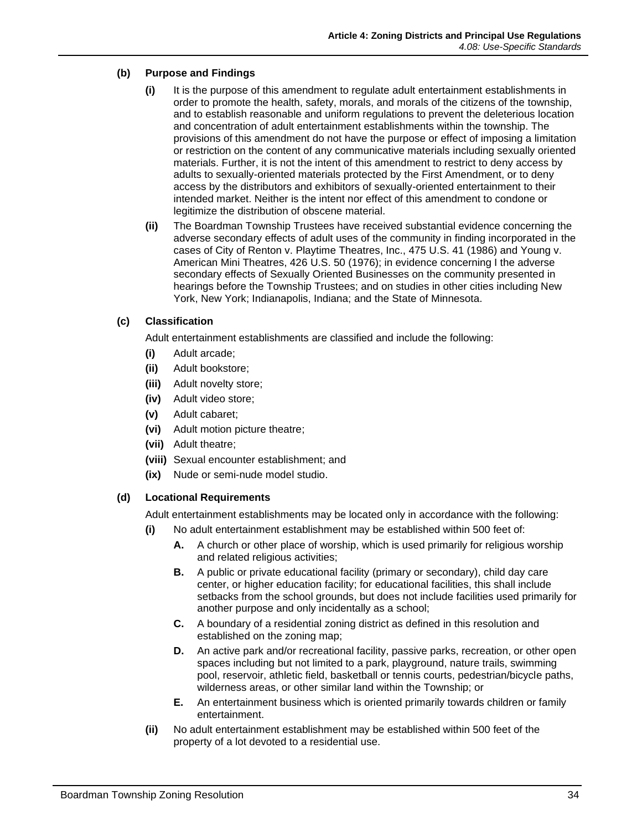# **(b) Purpose and Findings**

- **(i)** It is the purpose of this amendment to regulate adult entertainment establishments in order to promote the health, safety, morals, and morals of the citizens of the township, and to establish reasonable and uniform regulations to prevent the deleterious location and concentration of adult entertainment establishments within the township. The provisions of this amendment do not have the purpose or effect of imposing a limitation or restriction on the content of any communicative materials including sexually oriented materials. Further, it is not the intent of this amendment to restrict to deny access by adults to sexually-oriented materials protected by the First Amendment, or to deny access by the distributors and exhibitors of sexually-oriented entertainment to their intended market. Neither is the intent nor effect of this amendment to condone or legitimize the distribution of obscene material.
- **(ii)** The Boardman Township Trustees have received substantial evidence concerning the adverse secondary effects of adult uses of the community in finding incorporated in the cases of City of Renton v. Playtime Theatres, Inc., 475 U.S. 41 (1986) and Young v. American Mini Theatres, 426 U.S. 50 (1976); in evidence concerning I the adverse secondary effects of Sexually Oriented Businesses on the community presented in hearings before the Township Trustees; and on studies in other cities including New York, New York; Indianapolis, Indiana; and the State of Minnesota.

# **(c) Classification**

Adult entertainment establishments are classified and include the following:

- **(i)** Adult arcade;
- **(ii)** Adult bookstore;
- **(iii)** Adult novelty store;
- **(iv)** Adult video store;
- **(v)** Adult cabaret;
- **(vi)** Adult motion picture theatre;
- **(vii)** Adult theatre;
- **(viii)** Sexual encounter establishment; and
- **(ix)** Nude or semi-nude model studio.

# <span id="page-11-0"></span>**(d) Locational Requirements**

Adult entertainment establishments may be located only in accordance with the following:

- **(i)** No adult entertainment establishment may be established within 500 feet of:
	- **A.** A church or other place of worship, which is used primarily for religious worship and related religious activities;
	- **B.** A public or private educational facility (primary or secondary), child day care center, or higher education facility; for educational facilities, this shall include setbacks from the school grounds, but does not include facilities used primarily for another purpose and only incidentally as a school;
	- **C.** A boundary of a residential zoning district as defined in this resolution and established on the zoning map;
	- **D.** An active park and/or recreational facility, passive parks, recreation, or other open spaces including but not limited to a park, playground, nature trails, swimming pool, reservoir, athletic field, basketball or tennis courts, pedestrian/bicycle paths, wilderness areas, or other similar land within the Township; or
	- **E.** An entertainment business which is oriented primarily towards children or family entertainment.
- <span id="page-11-1"></span>**(ii)** No adult entertainment establishment may be established within 500 feet of the property of a lot devoted to a residential use.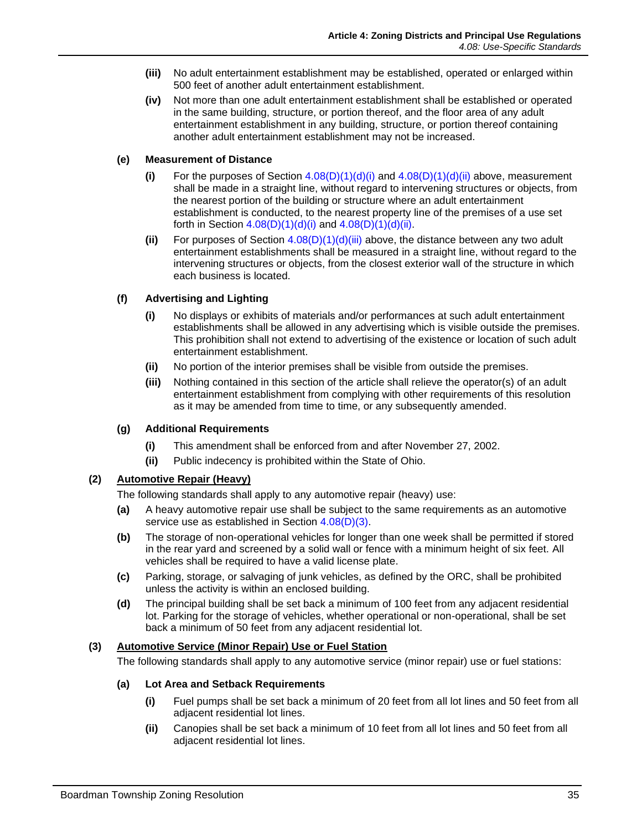- <span id="page-12-2"></span>**(iii)** No adult entertainment establishment may be established, operated or enlarged within 500 feet of another adult entertainment establishment.
- **(iv)** Not more than one adult entertainment establishment shall be established or operated in the same building, structure, or portion thereof, and the floor area of any adult entertainment establishment in any building, structure, or portion thereof containing another adult entertainment establishment may not be increased.

# **(e) Measurement of Distance**

- **(i)** For the purposes of Section  $4.08(D)(1)(d)(i)$  and  $4.08(D)(1)(d)(ii)$  above, measurement shall be made in a straight line, without regard to intervening structures or objects, from the nearest portion of the building or structure where an adult entertainment establishment is conducted, to the nearest property line of the premises of a use set forth in Section  $4.08(D)(1)(d)(i)$  and  $4.08(D)(1)(d)(ii)$ .
- **(ii)** For purposes of Section [4.08\(D\)\(1\)\(d\)\(iii\)](#page-12-2) above, the distance between any two adult entertainment establishments shall be measured in a straight line, without regard to the intervening structures or objects, from the closest exterior wall of the structure in which each business is located.

# <span id="page-12-0"></span>**(f) Advertising and Lighting**

- **(i)** No displays or exhibits of materials and/or performances at such adult entertainment establishments shall be allowed in any advertising which is visible outside the premises. This prohibition shall not extend to advertising of the existence or location of such adult entertainment establishment.
- **(ii)** No portion of the interior premises shall be visible from outside the premises.
- **(iii)** Nothing contained in this section of the article shall relieve the operator(s) of an adult entertainment establishment from complying with other requirements of this resolution as it may be amended from time to time, or any subsequently amended.

# **(g) Additional Requirements**

- **(i)** This amendment shall be enforced from and after November 27, 2002.
- **(ii)** Public indecency is prohibited within the State of Ohio.

# <span id="page-12-4"></span><span id="page-12-1"></span>**(2) Automotive Repair (Heavy)**

The following standards shall apply to any automotive repair (heavy) use:

- **(a)** A heavy automotive repair use shall be subject to the same requirements as an automotive service use as established in Section [4.08\(D\)\(3\).](#page-12-3)
- **(b)** The storage of non-operational vehicles for longer than one week shall be permitted if stored in the rear yard and screened by a solid wall or fence with a minimum height of six feet. All vehicles shall be required to have a valid license plate.
- **(c)** Parking, storage, or salvaging of junk vehicles, as defined by the ORC, shall be prohibited unless the activity is within an enclosed building.
- **(d)** The principal building shall be set back a minimum of 100 feet from any adjacent residential lot. Parking for the storage of vehicles, whether operational or non-operational, shall be set back a minimum of 50 feet from any adjacent residential lot.

# <span id="page-12-3"></span>**(3) Automotive Service (Minor Repair) Use or Fuel Station**

The following standards shall apply to any automotive service (minor repair) use or fuel stations:

# **(a) Lot Area and Setback Requirements**

- **(i)** Fuel pumps shall be set back a minimum of 20 feet from all lot lines and 50 feet from all adjacent residential lot lines.
- **(ii)** Canopies shall be set back a minimum of 10 feet from all lot lines and 50 feet from all adjacent residential lot lines.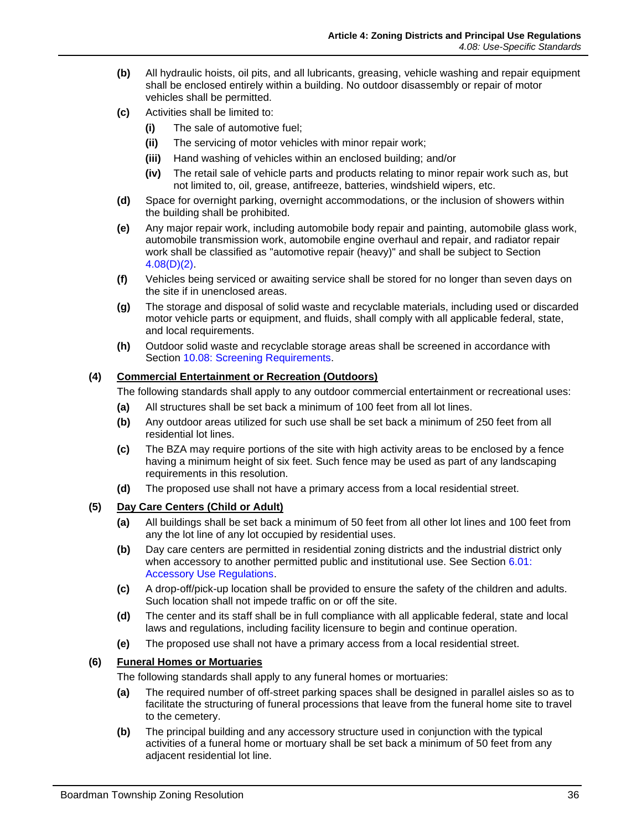- **(b)** All hydraulic hoists, oil pits, and all lubricants, greasing, vehicle washing and repair equipment shall be enclosed entirely within a building. No outdoor disassembly or repair of motor vehicles shall be permitted.
- **(c)** Activities shall be limited to:
	- **(i)** The sale of automotive fuel;
	- **(ii)** The servicing of motor vehicles with minor repair work;
	- **(iii)** Hand washing of vehicles within an enclosed building; and/or
	- **(iv)** The retail sale of vehicle parts and products relating to minor repair work such as, but not limited to, oil, grease, antifreeze, batteries, windshield wipers, etc.
- <span id="page-13-0"></span>**(d)** Space for overnight parking, overnight accommodations, or the inclusion of showers within the building shall be prohibited.
- **(e)** Any major repair work, including automobile body repair and painting, automobile glass work, automobile transmission work, automobile engine overhaul and repair, and radiator repair work shall be classified as "automotive repair (heavy)" and shall be subject to Section [4.08\(D\)\(2\).](#page-12-4)
- **(f)** Vehicles being serviced or awaiting service shall be stored for no longer than seven days on the site if in unenclosed areas.
- <span id="page-13-1"></span>**(g)** The storage and disposal of solid waste and recyclable materials, including used or discarded motor vehicle parts or equipment, and fluids, shall comply with all applicable federal, state, and local requirements.
- **(h)** Outdoor solid waste and recyclable storage areas shall be screened in accordance with Section 10.08: Screening Requirements.

# **(4) Commercial Entertainment or Recreation (Outdoors)**

The following standards shall apply to any outdoor commercial entertainment or recreational uses:

- **(a)** All structures shall be set back a minimum of 100 feet from all lot lines.
- **(b)** Any outdoor areas utilized for such use shall be set back a minimum of 250 feet from all residential lot lines.
- **(c)** The BZA may require portions of the site with high activity areas to be enclosed by a fence having a minimum height of six feet. Such fence may be used as part of any landscaping requirements in this resolution.
- **(d)** The proposed use shall not have a primary access from a local residential street.

# <span id="page-13-2"></span>**(5) Day Care Centers (Child or Adult)**

- **(a)** All buildings shall be set back a minimum of 50 feet from all other lot lines and 100 feet from any the lot line of any lot occupied by residential uses.
- **(b)** Day care centers are permitted in residential zoning districts and the industrial district only when accessory to another permitted public and institutional use. See Section 6.01: Accessory Use Regulations.
- **(c)** A drop-off/pick-up location shall be provided to ensure the safety of the children and adults. Such location shall not impede traffic on or off the site.
- **(d)** The center and its staff shall be in full compliance with all applicable federal, state and local laws and regulations, including facility licensure to begin and continue operation.
- **(e)** The proposed use shall not have a primary access from a local residential street.

# **(6) Funeral Homes or Mortuaries**

The following standards shall apply to any funeral homes or mortuaries:

- **(a)** The required number of off-street parking spaces shall be designed in parallel aisles so as to facilitate the structuring of funeral processions that leave from the funeral home site to travel to the cemetery.
- **(b)** The principal building and any accessory structure used in conjunction with the typical activities of a funeral home or mortuary shall be set back a minimum of 50 feet from any adjacent residential lot line.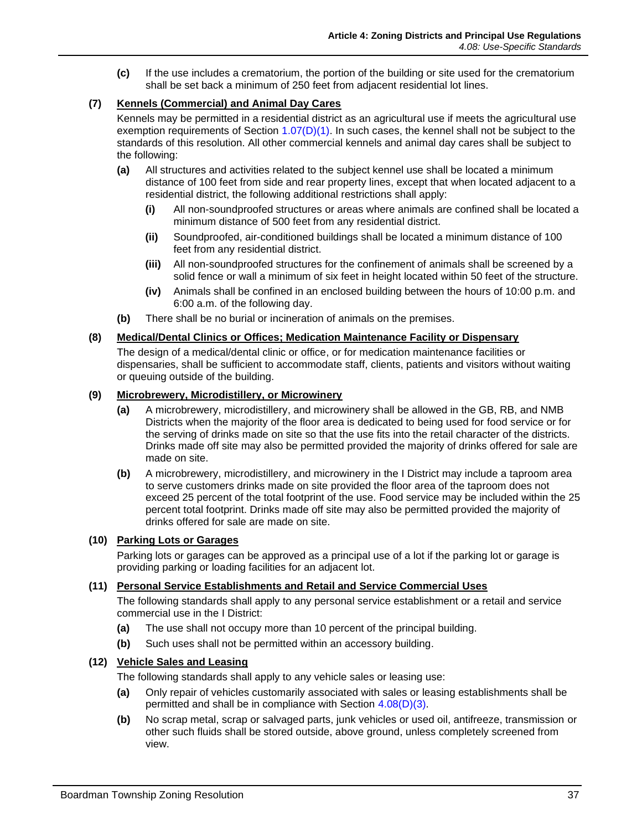<span id="page-14-0"></span>**(c)** If the use includes a crematorium, the portion of the building or site used for the crematorium shall be set back a minimum of 250 feet from adjacent residential lot lines.

# <span id="page-14-1"></span>**(7) Kennels (Commercial) and Animal Day Cares**

Kennels may be permitted in a residential district as an agricultural use if meets the agricultural use exemption requirements of Section 1.07(D)(1). In such cases, the kennel shall not be subject to the standards of this resolution. All other commercial kennels and animal day cares shall be subject to the following:

- <span id="page-14-2"></span>**(a)** All structures and activities related to the subject kennel use shall be located a minimum distance of 100 feet from side and rear property lines, except that when located adjacent to a residential district, the following additional restrictions shall apply:
	- **(i)** All non-soundproofed structures or areas where animals are confined shall be located a minimum distance of 500 feet from any residential district.
	- **(ii)** Soundproofed, air-conditioned buildings shall be located a minimum distance of 100 feet from any residential district.
	- **(iii)** All non-soundproofed structures for the confinement of animals shall be screened by a solid fence or wall a minimum of six feet in height located within 50 feet of the structure.
	- **(iv)** Animals shall be confined in an enclosed building between the hours of 10:00 p.m. and 6:00 a.m. of the following day.
- **(b)** There shall be no burial or incineration of animals on the premises.

#### <span id="page-14-3"></span>**(8) Medical/Dental Clinics or Offices; Medication Maintenance Facility or Dispensary**

The design of a medical/dental clinic or office, or for medication maintenance facilities or dispensaries, shall be sufficient to accommodate staff, clients, patients and visitors without waiting or queuing outside of the building.

#### <span id="page-14-4"></span>**(9) Microbrewery, Microdistillery, or Microwinery**

- **(a)** A microbrewery, microdistillery, and microwinery shall be allowed in the GB, RB, and NMB Districts when the majority of the floor area is dedicated to being used for food service or for the serving of drinks made on site so that the use fits into the retail character of the districts. Drinks made off site may also be permitted provided the majority of drinks offered for sale are made on site.
- <span id="page-14-5"></span>**(b)** A microbrewery, microdistillery, and microwinery in the I District may include a taproom area to serve customers drinks made on site provided the floor area of the taproom does not exceed 25 percent of the total footprint of the use. Food service may be included within the 25 percent total footprint. Drinks made off site may also be permitted provided the majority of drinks offered for sale are made on site.

# **(10) Parking Lots or Garages**

Parking lots or garages can be approved as a principal use of a lot if the parking lot or garage is providing parking or loading facilities for an adjacent lot.

# **(11) Personal Service Establishments and Retail and Service Commercial Uses**

The following standards shall apply to any personal service establishment or a retail and service commercial use in the I District:

- **(a)** The use shall not occupy more than 10 percent of the principal building.
- **(b)** Such uses shall not be permitted within an accessory building.

# **(12) Vehicle Sales and Leasing**

The following standards shall apply to any vehicle sales or leasing use:

- **(a)** Only repair of vehicles customarily associated with sales or leasing establishments shall be permitted and shall be in compliance with Section [4.08\(D\)\(3\).](#page-12-3)
- **(b)** No scrap metal, scrap or salvaged parts, junk vehicles or used oil, antifreeze, transmission or other such fluids shall be stored outside, above ground, unless completely screened from view.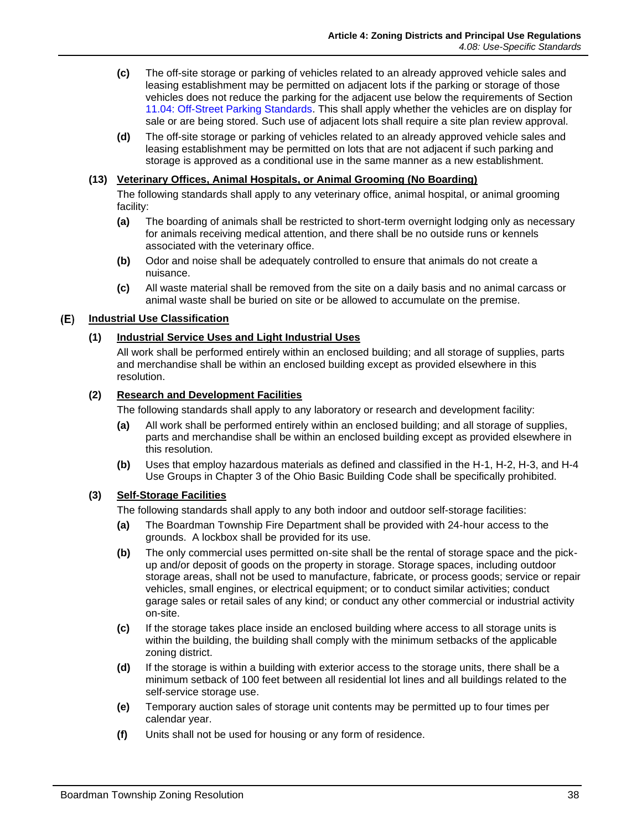- <span id="page-15-0"></span>**(c)** The off-site storage or parking of vehicles related to an already approved vehicle sales and leasing establishment may be permitted on adjacent lots if the parking or storage of those vehicles does not reduce the parking for the adjacent use below the requirements of Section 11.04: Off-Street Parking Standards. This shall apply whether the vehicles are on display for sale or are being stored. Such use of adjacent lots shall require a site plan review approval.
- **(d)** The off-site storage or parking of vehicles related to an already approved vehicle sales and leasing establishment may be permitted on lots that are not adjacent if such parking and storage is approved as a conditional use in the same manner as a new establishment.

#### <span id="page-15-2"></span><span id="page-15-1"></span>**(13) Veterinary Offices, Animal Hospitals, or Animal Grooming (No Boarding)**

The following standards shall apply to any veterinary office, animal hospital, or animal grooming facility:

- **(a)** The boarding of animals shall be restricted to short-term overnight lodging only as necessary for animals receiving medical attention, and there shall be no outside runs or kennels associated with the veterinary office.
- **(b)** Odor and noise shall be adequately controlled to ensure that animals do not create a nuisance.
- **(c)** All waste material shall be removed from the site on a daily basis and no animal carcass or animal waste shall be buried on site or be allowed to accumulate on the premise.

#### <span id="page-15-3"></span>**Industrial Use Classification**

#### **(1) Industrial Service Uses and Light Industrial Uses**

All work shall be performed entirely within an enclosed building; and all storage of supplies, parts and merchandise shall be within an enclosed building except as provided elsewhere in this resolution.

#### **(2) Research and Development Facilities**

The following standards shall apply to any laboratory or research and development facility:

- **(a)** All work shall be performed entirely within an enclosed building; and all storage of supplies, parts and merchandise shall be within an enclosed building except as provided elsewhere in this resolution.
- **(b)** Uses that employ hazardous materials as defined and classified in the H-1, H-2, H-3, and H-4 Use Groups in Chapter 3 of the Ohio Basic Building Code shall be specifically prohibited.

#### **(3) Self-Storage Facilities**

The following standards shall apply to any both indoor and outdoor self-storage facilities:

- **(a)** The Boardman Township Fire Department shall be provided with 24-hour access to the grounds. A lockbox shall be provided for its use.
- **(b)** The only commercial uses permitted on-site shall be the rental of storage space and the pickup and/or deposit of goods on the property in storage. Storage spaces, including outdoor storage areas, shall not be used to manufacture, fabricate, or process goods; service or repair vehicles, small engines, or electrical equipment; or to conduct similar activities; conduct garage sales or retail sales of any kind; or conduct any other commercial or industrial activity on-site.
- **(c)** If the storage takes place inside an enclosed building where access to all storage units is within the building, the building shall comply with the minimum setbacks of the applicable zoning district.
- **(d)** If the storage is within a building with exterior access to the storage units, there shall be a minimum setback of 100 feet between all residential lot lines and all buildings related to the self-service storage use.
- **(e)** Temporary auction sales of storage unit contents may be permitted up to four times per calendar year.
- **(f)** Units shall not be used for housing or any form of residence.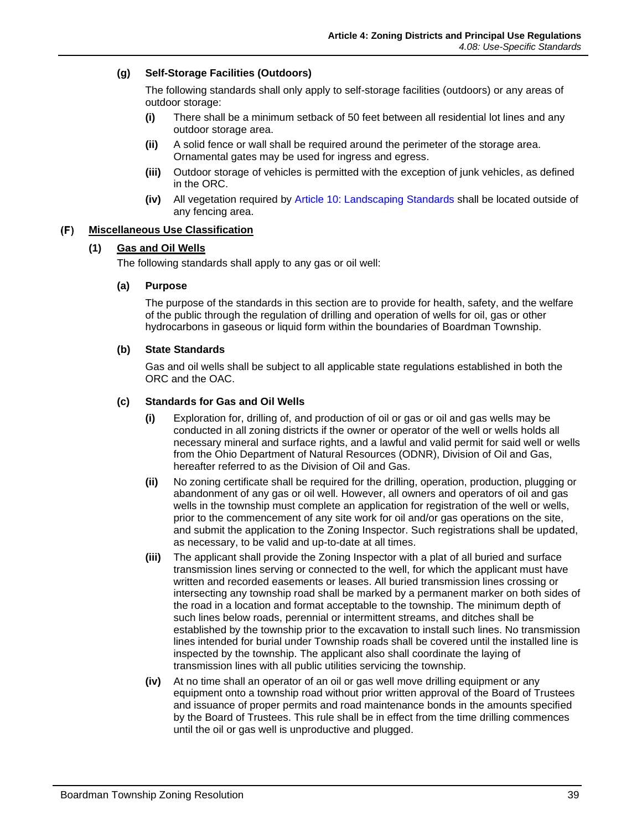# <span id="page-16-0"></span>**(g) Self-Storage Facilities (Outdoors)**

The following standards shall only apply to self-storage facilities (outdoors) or any areas of outdoor storage:

- **(i)** There shall be a minimum setback of 50 feet between all residential lot lines and any outdoor storage area.
- **(ii)** A solid fence or wall shall be required around the perimeter of the storage area. Ornamental gates may be used for ingress and egress.
- **(iii)** Outdoor storage of vehicles is permitted with the exception of junk vehicles, as defined in the ORC.
- **(iv)** All vegetation required by Article 10: Landscaping Standards shall be located outside of any fencing area.

#### $(F)$ **Miscellaneous Use Classification**

# **(1) Gas and Oil Wells**

The following standards shall apply to any gas or oil well:

#### **(a) Purpose**

The purpose of the standards in this section are to provide for health, safety, and the welfare of the public through the regulation of drilling and operation of wells for oil, gas or other hydrocarbons in gaseous or liquid form within the boundaries of Boardman Township.

#### **(b) State Standards**

Gas and oil wells shall be subject to all applicable state regulations established in both the ORC and the OAC.

#### **(c) Standards for Gas and Oil Wells**

- **(i)** Exploration for, drilling of, and production of oil or gas or oil and gas wells may be conducted in all zoning districts if the owner or operator of the well or wells holds all necessary mineral and surface rights, and a lawful and valid permit for said well or wells from the Ohio Department of Natural Resources (ODNR), Division of Oil and Gas, hereafter referred to as the Division of Oil and Gas.
- **(ii)** No zoning certificate shall be required for the drilling, operation, production, plugging or abandonment of any gas or oil well. However, all owners and operators of oil and gas wells in the township must complete an application for registration of the well or wells, prior to the commencement of any site work for oil and/or gas operations on the site, and submit the application to the Zoning Inspector. Such registrations shall be updated, as necessary, to be valid and up-to-date at all times.
- **(iii)** The applicant shall provide the Zoning Inspector with a plat of all buried and surface transmission lines serving or connected to the well, for which the applicant must have written and recorded easements or leases. All buried transmission lines crossing or intersecting any township road shall be marked by a permanent marker on both sides of the road in a location and format acceptable to the township. The minimum depth of such lines below roads, perennial or intermittent streams, and ditches shall be established by the township prior to the excavation to install such lines. No transmission lines intended for burial under Township roads shall be covered until the installed line is inspected by the township. The applicant also shall coordinate the laying of transmission lines with all public utilities servicing the township.
- **(iv)** At no time shall an operator of an oil or gas well move drilling equipment or any equipment onto a township road without prior written approval of the Board of Trustees and issuance of proper permits and road maintenance bonds in the amounts specified by the Board of Trustees. This rule shall be in effect from the time drilling commences until the oil or gas well is unproductive and plugged.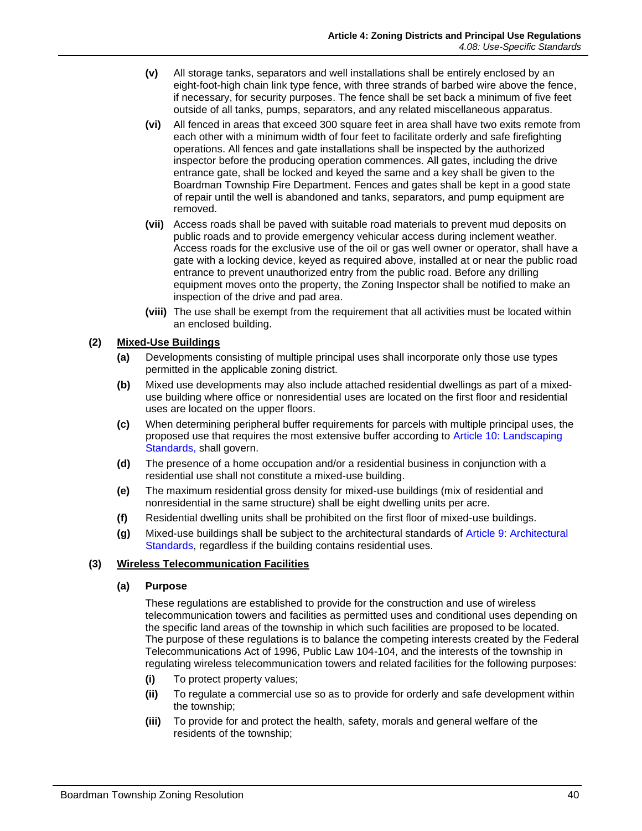- **(v)** All storage tanks, separators and well installations shall be entirely enclosed by an eight-foot-high chain link type fence, with three strands of barbed wire above the fence, if necessary, for security purposes. The fence shall be set back a minimum of five feet outside of all tanks, pumps, separators, and any related miscellaneous apparatus.
- <span id="page-17-0"></span>**(vi)** All fenced in areas that exceed 300 square feet in area shall have two exits remote from each other with a minimum width of four feet to facilitate orderly and safe firefighting operations. All fences and gate installations shall be inspected by the authorized inspector before the producing operation commences. All gates, including the drive entrance gate, shall be locked and keyed the same and a key shall be given to the Boardman Township Fire Department. Fences and gates shall be kept in a good state of repair until the well is abandoned and tanks, separators, and pump equipment are removed.
- **(vii)** Access roads shall be paved with suitable road materials to prevent mud deposits on public roads and to provide emergency vehicular access during inclement weather. Access roads for the exclusive use of the oil or gas well owner or operator, shall have a gate with a locking device, keyed as required above, installed at or near the public road entrance to prevent unauthorized entry from the public road. Before any drilling equipment moves onto the property, the Zoning Inspector shall be notified to make an inspection of the drive and pad area.
- **(viii)** The use shall be exempt from the requirement that all activities must be located within an enclosed building.

# <span id="page-17-1"></span>**(2) Mixed-Use Buildings**

- **(a)** Developments consisting of multiple principal uses shall incorporate only those use types permitted in the applicable zoning district.
- **(b)** Mixed use developments may also include attached residential dwellings as part of a mixeduse building where office or nonresidential uses are located on the first floor and residential uses are located on the upper floors.
- **(c)** When determining peripheral buffer requirements for parcels with multiple principal uses, the proposed use that requires the most extensive buffer according to Article 10: Landscaping Standards, shall govern.
- **(d)** The presence of a home occupation and/or a residential business in conjunction with a residential use shall not constitute a mixed-use building.
- **(e)** The maximum residential gross density for mixed-use buildings (mix of residential and nonresidential in the same structure) shall be eight dwelling units per acre.
- **(f)** Residential dwelling units shall be prohibited on the first floor of mixed-use buildings.
- **(g)** Mixed-use buildings shall be subject to the architectural standards of Article 9: Architectural Standards, regardless if the building contains residential uses.

# **(3) Wireless Telecommunication Facilities**

# **(a) Purpose**

These regulations are established to provide for the construction and use of wireless telecommunication towers and facilities as permitted uses and conditional uses depending on the specific land areas of the township in which such facilities are proposed to be located. The purpose of these regulations is to balance the competing interests created by the Federal Telecommunications Act of 1996, Public Law 104-104, and the interests of the township in regulating wireless telecommunication towers and related facilities for the following purposes:

- **(i)** To protect property values;
- **(ii)** To regulate a commercial use so as to provide for orderly and safe development within the township;
- **(iii)** To provide for and protect the health, safety, morals and general welfare of the residents of the township;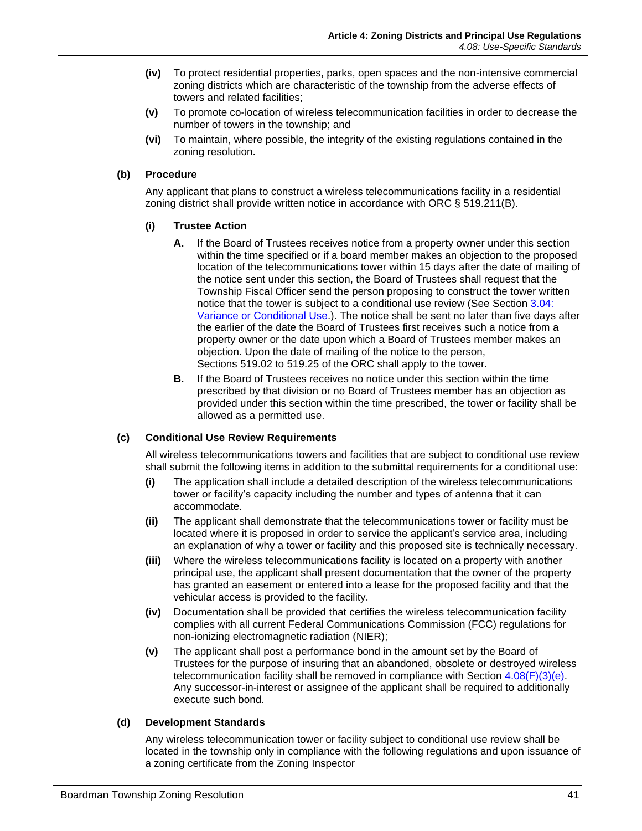- **(iv)** To protect residential properties, parks, open spaces and the non-intensive commercial zoning districts which are characteristic of the township from the adverse effects of towers and related facilities;
- **(v)** To promote co-location of wireless telecommunication facilities in order to decrease the number of towers in the township; and
- **(vi)** To maintain, where possible, the integrity of the existing regulations contained in the zoning resolution.

#### **(b) Procedure**

Any applicant that plans to construct a wireless telecommunications facility in a residential zoning district shall provide written notice in accordance with ORC § 519.211(B).

#### **(i) Trustee Action**

- **A.** If the Board of Trustees receives notice from a property owner under this section within the time specified or if a board member makes an objection to the proposed location of the telecommunications tower within 15 days after the date of mailing of the notice sent under this section, the Board of Trustees shall request that the Township Fiscal Officer send the person proposing to construct the tower written notice that the tower is subject to a conditional use review (See Section 3.04: Variance or Conditional Use.). The notice shall be sent no later than five days after the earlier of the date the Board of Trustees first receives such a notice from a property owner or the date upon which a Board of Trustees member makes an objection. Upon the date of mailing of the notice to the person, Sections [519.02](http://codes.ohio.gov/orc/519.02) to [519.25](http://codes.ohio.gov/orc/519.25) of the ORC shall apply to the tower.
- **B.** If the Board of Trustees receives no notice under this section within the time prescribed by that division or no Board of Trustees member has an objection as provided under this section within the time prescribed, the tower or facility shall be allowed as a permitted use.

#### **(c) Conditional Use Review Requirements**

All wireless telecommunications towers and facilities that are subject to conditional use review shall submit the following items in addition to the submittal requirements for a conditional use:

- **(i)** The application shall include a detailed description of the wireless telecommunications tower or facility's capacity including the number and types of antenna that it can accommodate.
- <span id="page-18-0"></span>**(ii)** The applicant shall demonstrate that the telecommunications tower or facility must be located where it is proposed in order to service the applicant's service area, including an explanation of why a tower or facility and this proposed site is technically necessary.
- **(iii)** Where the wireless telecommunications facility is located on a property with another principal use, the applicant shall present documentation that the owner of the property has granted an easement or entered into a lease for the proposed facility and that the vehicular access is provided to the facility.
- **(iv)** Documentation shall be provided that certifies the wireless telecommunication facility complies with all current Federal Communications Commission (FCC) regulations for non-ionizing electromagnetic radiation (NIER);
- **(v)** The applicant shall post a performance bond in the amount set by the Board of Trustees for the purpose of insuring that an abandoned, obsolete or destroyed wireless telecommunication facility shall be removed in compliance with Section  $4.08(F)(3)(e)$ . Any successor-in-interest or assignee of the applicant shall be required to additionally execute such bond.

#### **(d) Development Standards**

Any wireless telecommunication tower or facility subject to conditional use review shall be located in the township only in compliance with the following regulations and upon issuance of a zoning certificate from the Zoning Inspector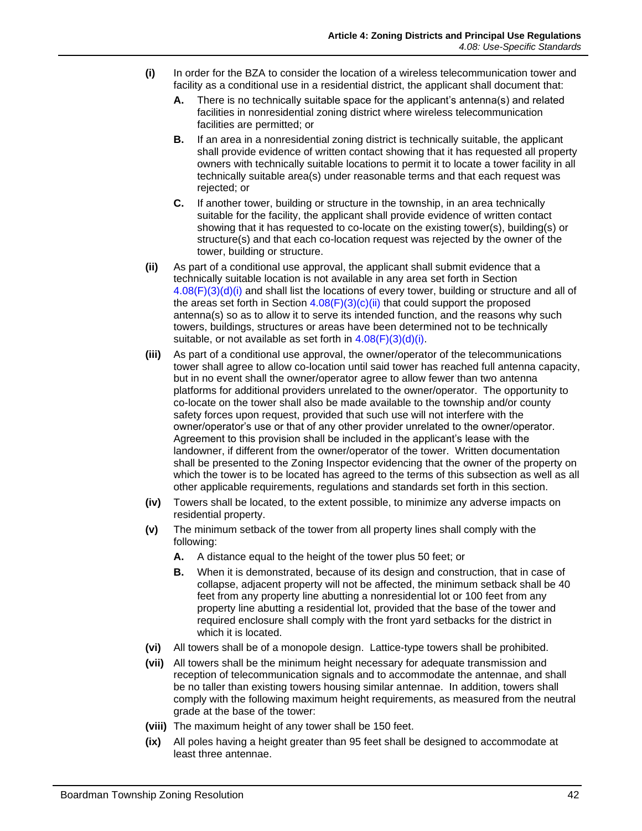- <span id="page-19-0"></span>**(i)** In order for the BZA to consider the location of a wireless telecommunication tower and facility as a conditional use in a residential district, the applicant shall document that:
	- **A.** There is no technically suitable space for the applicant's antenna(s) and related facilities in nonresidential zoning district where wireless telecommunication facilities are permitted; or
	- **B.** If an area in a nonresidential zoning district is technically suitable, the applicant shall provide evidence of written contact showing that it has requested all property owners with technically suitable locations to permit it to locate a tower facility in all technically suitable area(s) under reasonable terms and that each request was rejected; or
	- **C.** If another tower, building or structure in the township, in an area technically suitable for the facility, the applicant shall provide evidence of written contact showing that it has requested to co-locate on the existing tower(s), building(s) or structure(s) and that each co-location request was rejected by the owner of the tower, building or structure.
- **(ii)** As part of a conditional use approval, the applicant shall submit evidence that a technically suitable location is not available in any area set forth in Section  $4.08(F)(3)(d)(i)$  and shall list the locations of every tower, building or structure and all of the areas set forth in Section  $4.08(F)(3)(c)(ii)$  that could support the proposed antenna(s) so as to allow it to serve its intended function, and the reasons why such towers, buildings, structures or areas have been determined not to be technically suitable, or not available as set forth in  $4.08(F)(3)(d)(i)$ .
- **(iii)** As part of a conditional use approval, the owner/operator of the telecommunications tower shall agree to allow co-location until said tower has reached full antenna capacity, but in no event shall the owner/operator agree to allow fewer than two antenna platforms for additional providers unrelated to the owner/operator. The opportunity to co-locate on the tower shall also be made available to the township and/or county safety forces upon request, provided that such use will not interfere with the owner/operator's use or that of any other provider unrelated to the owner/operator. Agreement to this provision shall be included in the applicant's lease with the landowner, if different from the owner/operator of the tower. Written documentation shall be presented to the Zoning Inspector evidencing that the owner of the property on which the tower is to be located has agreed to the terms of this subsection as well as all other applicable requirements, regulations and standards set forth in this section.
- **(iv)** Towers shall be located, to the extent possible, to minimize any adverse impacts on residential property.
- **(v)** The minimum setback of the tower from all property lines shall comply with the following:
	- **A.** A distance equal to the height of the tower plus 50 feet; or
	- **B.** When it is demonstrated, because of its design and construction, that in case of collapse, adjacent property will not be affected, the minimum setback shall be 40 feet from any property line abutting a nonresidential lot or 100 feet from any property line abutting a residential lot, provided that the base of the tower and required enclosure shall comply with the front yard setbacks for the district in which it is located.
- **(vi)** All towers shall be of a monopole design. Lattice-type towers shall be prohibited.
- **(vii)** All towers shall be the minimum height necessary for adequate transmission and reception of telecommunication signals and to accommodate the antennae, and shall be no taller than existing towers housing similar antennae. In addition, towers shall comply with the following maximum height requirements, as measured from the neutral grade at the base of the tower:
- **(viii)** The maximum height of any tower shall be 150 feet.
- **(ix)** All poles having a height greater than 95 feet shall be designed to accommodate at least three antennae.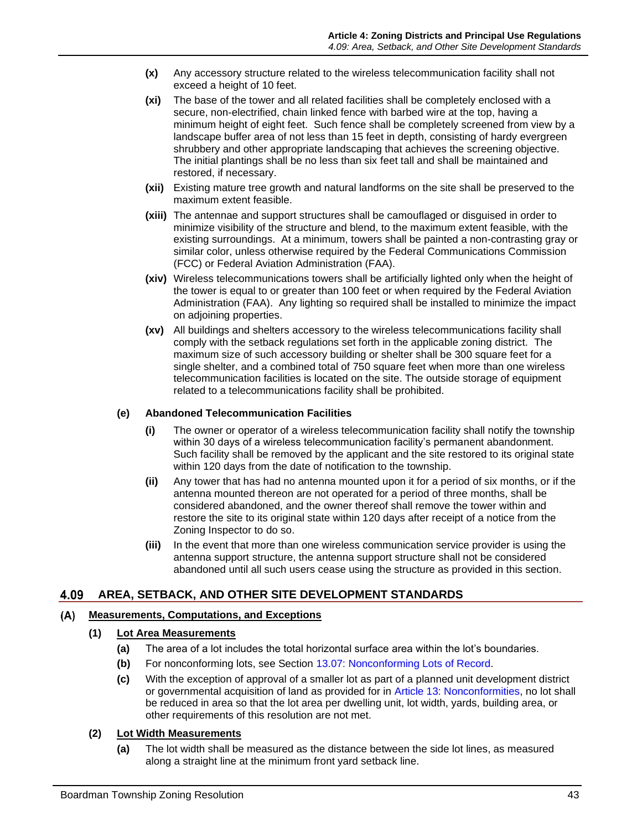- **(x)** Any accessory structure related to the wireless telecommunication facility shall not exceed a height of 10 feet.
- **(xi)** The base of the tower and all related facilities shall be completely enclosed with a secure, non-electrified, chain linked fence with barbed wire at the top, having a minimum height of eight feet. Such fence shall be completely screened from view by a landscape buffer area of not less than 15 feet in depth, consisting of hardy evergreen shrubbery and other appropriate landscaping that achieves the screening objective. The initial plantings shall be no less than six feet tall and shall be maintained and restored, if necessary.
- **(xii)** Existing mature tree growth and natural landforms on the site shall be preserved to the maximum extent feasible.
- **(xiii)** The antennae and support structures shall be camouflaged or disguised in order to minimize visibility of the structure and blend, to the maximum extent feasible, with the existing surroundings. At a minimum, towers shall be painted a non-contrasting gray or similar color, unless otherwise required by the Federal Communications Commission (FCC) or Federal Aviation Administration (FAA).
- **(xiv)** Wireless telecommunications towers shall be artificially lighted only when the height of the tower is equal to or greater than 100 feet or when required by the Federal Aviation Administration (FAA). Any lighting so required shall be installed to minimize the impact on adjoining properties.
- **(xv)** All buildings and shelters accessory to the wireless telecommunications facility shall comply with the setback regulations set forth in the applicable zoning district. The maximum size of such accessory building or shelter shall be 300 square feet for a single shelter, and a combined total of 750 square feet when more than one wireless telecommunication facilities is located on the site. The outside storage of equipment related to a telecommunications facility shall be prohibited.

#### <span id="page-20-0"></span>**(e) Abandoned Telecommunication Facilities**

- **(i)** The owner or operator of a wireless telecommunication facility shall notify the township within 30 days of a wireless telecommunication facility's permanent abandonment. Such facility shall be removed by the applicant and the site restored to its original state within 120 days from the date of notification to the township.
- **(ii)** Any tower that has had no antenna mounted upon it for a period of six months, or if the antenna mounted thereon are not operated for a period of three months, shall be considered abandoned, and the owner thereof shall remove the tower within and restore the site to its original state within 120 days after receipt of a notice from the Zoning Inspector to do so.
- **(iii)** In the event that more than one wireless communication service provider is using the antenna support structure, the antenna support structure shall not be considered abandoned until all such users cease using the structure as provided in this section.

# **AREA, SETBACK, AND OTHER SITE DEVELOPMENT STANDARDS**

#### $(A)$ **Measurements, Computations, and Exceptions**

#### **(1) Lot Area Measurements**

- **(a)** The area of a lot includes the total horizontal surface area within the lot's boundaries.
- **(b)** For nonconforming lots, see Section 13.07: Nonconforming Lots of Record.
- **(c)** With the exception of approval of a smaller lot as part of a planned unit development district or governmental acquisition of land as provided for in Article 13: Nonconformities, no lot shall be reduced in area so that the lot area per dwelling unit, lot width, yards, building area, or other requirements of this resolution are not met.

#### **(2) Lot Width Measurements**

**(a)** The lot width shall be measured as the distance between the side lot lines, as measured along a straight line at the minimum front yard setback line.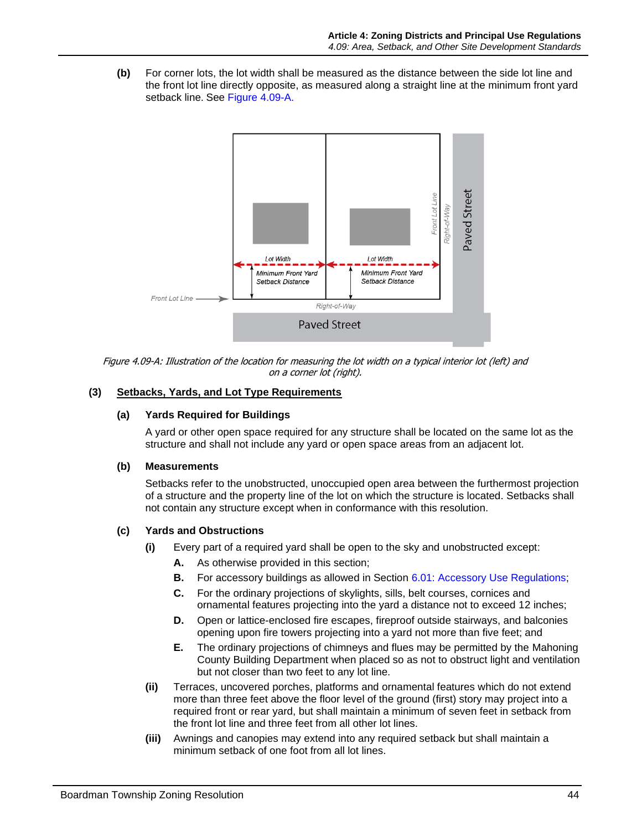**(b)** For corner lots, the lot width shall be measured as the distance between the side lot line and the front lot line directly opposite, as measured along a straight line at the minimum front yard setback line. See [Figure 4.09-A.](#page-21-0)



<span id="page-21-0"></span>Figure 4.09-A: Illustration of the location for measuring the lot width on a typical interior lot (left) and on a corner lot (right).

# **(3) Setbacks, Yards, and Lot Type Requirements**

#### **(a) Yards Required for Buildings**

A yard or other open space required for any structure shall be located on the same lot as the structure and shall not include any yard or open space areas from an adjacent lot.

#### **(b) Measurements**

Setbacks refer to the unobstructed, unoccupied open area between the furthermost projection of a structure and the property line of the lot on which the structure is located. Setbacks shall not contain any structure except when in conformance with this resolution.

# **(c) Yards and Obstructions**

- **(i)** Every part of a required yard shall be open to the sky and unobstructed except:
	- **A.** As otherwise provided in this section;
	- **B.** For accessory buildings as allowed in Section 6.01: Accessory Use Regulations;
	- **C.** For the ordinary projections of skylights, sills, belt courses, cornices and ornamental features projecting into the yard a distance not to exceed 12 inches;
	- **D.** Open or lattice-enclosed fire escapes, fireproof outside stairways, and balconies opening upon fire towers projecting into a yard not more than five feet; and
	- **E.** The ordinary projections of chimneys and flues may be permitted by the Mahoning County Building Department when placed so as not to obstruct light and ventilation but not closer than two feet to any lot line.
- **(ii)** Terraces, uncovered porches, platforms and ornamental features which do not extend more than three feet above the floor level of the ground (first) story may project into a required front or rear yard, but shall maintain a minimum of seven feet in setback from the front lot line and three feet from all other lot lines.
- **(iii)** Awnings and canopies may extend into any required setback but shall maintain a minimum setback of one foot from all lot lines.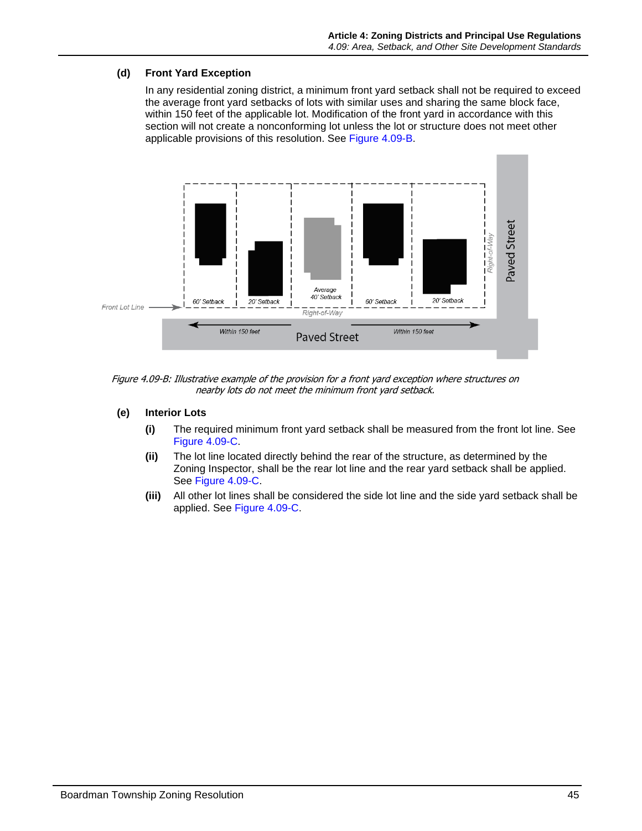# <span id="page-22-1"></span>**(d) Front Yard Exception**

In any residential zoning district, a minimum front yard setback shall not be required to exceed the average front yard setbacks of lots with similar uses and sharing the same block face, within 150 feet of the applicable lot. Modification of the front yard in accordance with this section will not create a nonconforming lot unless the lot or structure does not meet other applicable provisions of this resolution. See [Figure 4.09-B.](#page-22-0)



<span id="page-22-0"></span>Figure 4.09-B: Illustrative example of the provision for a front yard exception where structures on nearby lots do not meet the minimum front yard setback.

- **(e) Interior Lots** 
	- **(i)** The required minimum front yard setback shall be measured from the front lot line. See [Figure 4.09-C.](#page-23-0)
	- **(ii)** The lot line located directly behind the rear of the structure, as determined by the Zoning Inspector, shall be the rear lot line and the rear yard setback shall be applied. See [Figure 4.09-C.](#page-23-0)
	- **(iii)** All other lot lines shall be considered the side lot line and the side yard setback shall be applied. See [Figure 4.09-C.](#page-23-0)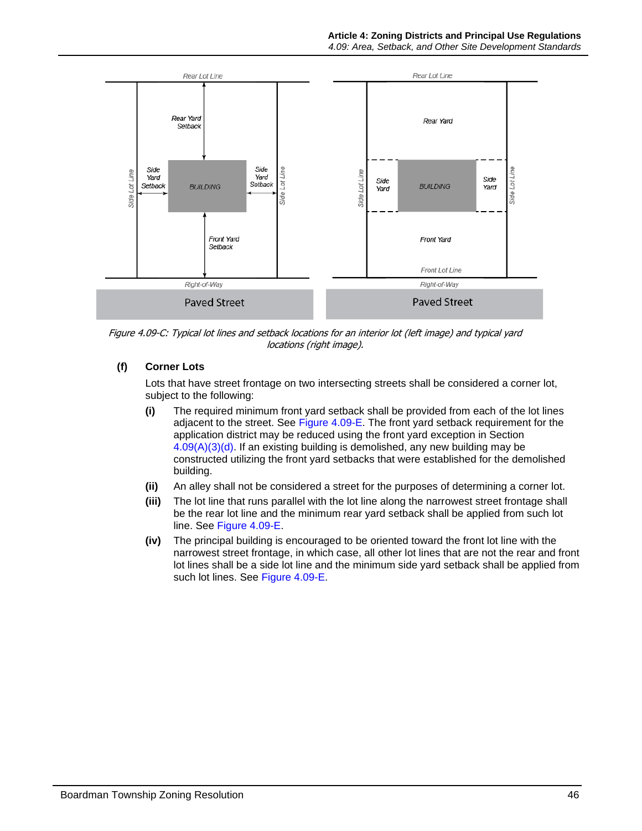

<span id="page-23-0"></span>Figure 4.09-C: Typical lot lines and setback locations for an interior lot (left image) and typical yard locations (right image).

# **(f) Corner Lots**

Lots that have street frontage on two intersecting streets shall be considered a corner lot, subject to the following:

- **(i)** The required minimum front yard setback shall be provided from each of the lot lines adjacent to the street. See [Figure 4.09-E.](#page-24-0) The front yard setback requirement for the application district may be reduced using the front yard exception in Section  $4.09(A)(3)(d)$ . If an existing building is demolished, any new building may be constructed utilizing the front yard setbacks that were established for the demolished building.
- **(ii)** An alley shall not be considered a street for the purposes of determining a corner lot.
- **(iii)** The lot line that runs parallel with the lot line along the narrowest street frontage shall be the rear lot line and the minimum rear yard setback shall be applied from such lot line. See [Figure 4.09-E.](#page-24-0)
- **(iv)** The principal building is encouraged to be oriented toward the front lot line with the narrowest street frontage, in which case, all other lot lines that are not the rear and front lot lines shall be a side lot line and the minimum side yard setback shall be applied from such lot lines. See [Figure 4.09-E.](#page-24-0)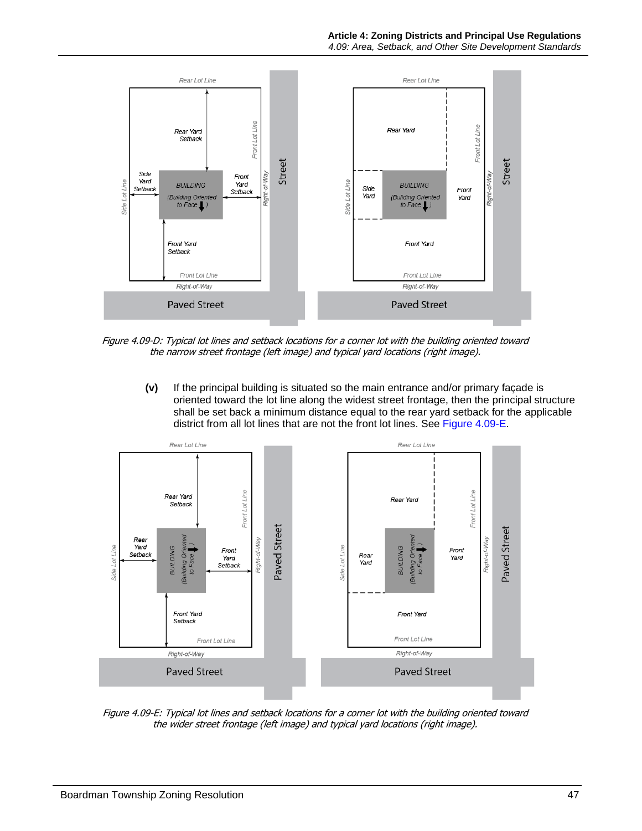

Figure 4.09-D: Typical lot lines and setback locations for a corner lot with the building oriented toward the narrow street frontage (left image) and typical yard locations (right image).

**(v)** If the principal building is situated so the main entrance and/or primary façade is oriented toward the lot line along the widest street frontage, then the principal structure shall be set back a minimum distance equal to the rear yard setback for the applicable district from all lot lines that are not the front lot lines. See [Figure 4.09-E.](#page-24-0)



<span id="page-24-0"></span>Figure 4.09-E: Typical lot lines and setback locations for a corner lot with the building oriented toward the wider street frontage (left image) and typical yard locations (right image).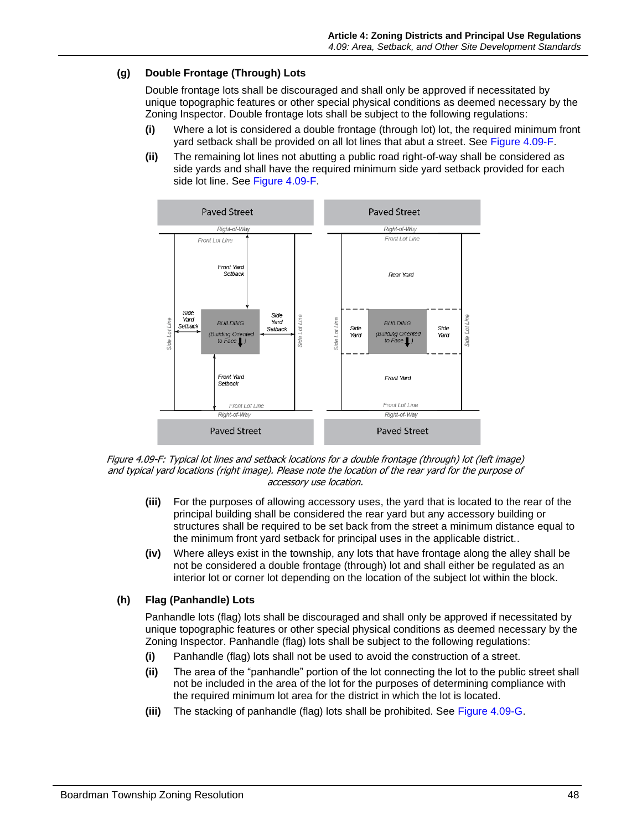# **(g) Double Frontage (Through) Lots**

Double frontage lots shall be discouraged and shall only be approved if necessitated by unique topographic features or other special physical conditions as deemed necessary by the Zoning Inspector. Double frontage lots shall be subject to the following regulations:

- **(i)** Where a lot is considered a double frontage (through lot) lot, the required minimum front yard setback shall be provided on all lot lines that abut a street. See [Figure 4.09-F.](#page-25-0)
- **(ii)** The remaining lot lines not abutting a public road right-of-way shall be considered as side yards and shall have the required minimum side yard setback provided for each side lot line. See [Figure 4.09-F.](#page-25-0)



<span id="page-25-0"></span>

- **(iii)** For the purposes of allowing accessory uses, the yard that is located to the rear of the principal building shall be considered the rear yard but any accessory building or structures shall be required to be set back from the street a minimum distance equal to the minimum front yard setback for principal uses in the applicable district..
- **(iv)** Where alleys exist in the township, any lots that have frontage along the alley shall be not be considered a double frontage (through) lot and shall either be regulated as an interior lot or corner lot depending on the location of the subject lot within the block.

# **(h) Flag (Panhandle) Lots**

Panhandle lots (flag) lots shall be discouraged and shall only be approved if necessitated by unique topographic features or other special physical conditions as deemed necessary by the Zoning Inspector. Panhandle (flag) lots shall be subject to the following regulations:

- **(i)** Panhandle (flag) lots shall not be used to avoid the construction of a street.
- **(ii)** The area of the "panhandle" portion of the lot connecting the lot to the public street shall not be included in the area of the lot for the purposes of determining compliance with the required minimum lot area for the district in which the lot is located.
- **(iii)** The stacking of panhandle (flag) lots shall be prohibited. See [Figure 4.09-G.](#page-26-0)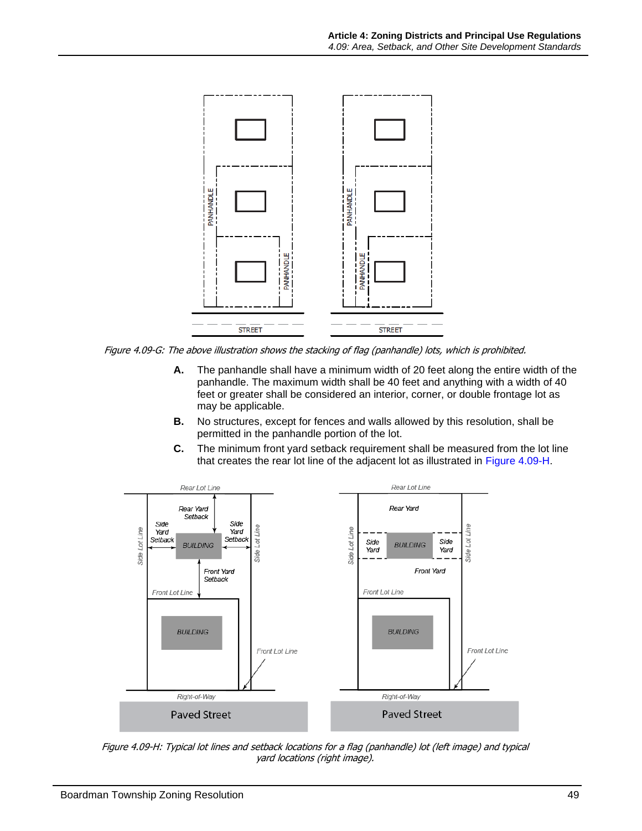

<span id="page-26-0"></span>Figure 4.09-G: The above illustration shows the stacking of flag (panhandle) lots, which is prohibited.

- **A.** The panhandle shall have a minimum width of 20 feet along the entire width of the panhandle. The maximum width shall be 40 feet and anything with a width of 40 feet or greater shall be considered an interior, corner, or double frontage lot as may be applicable.
- **B.** No structures, except for fences and walls allowed by this resolution, shall be permitted in the panhandle portion of the lot.
- **C.** The minimum front yard setback requirement shall be measured from the lot line that creates the rear lot line of the adjacent lot as illustrated in [Figure 4.09-H.](#page-26-1)



<span id="page-26-1"></span>Figure 4.09-H: Typical lot lines and setback locations for a flag (panhandle) lot (left image) and typical yard locations (right image).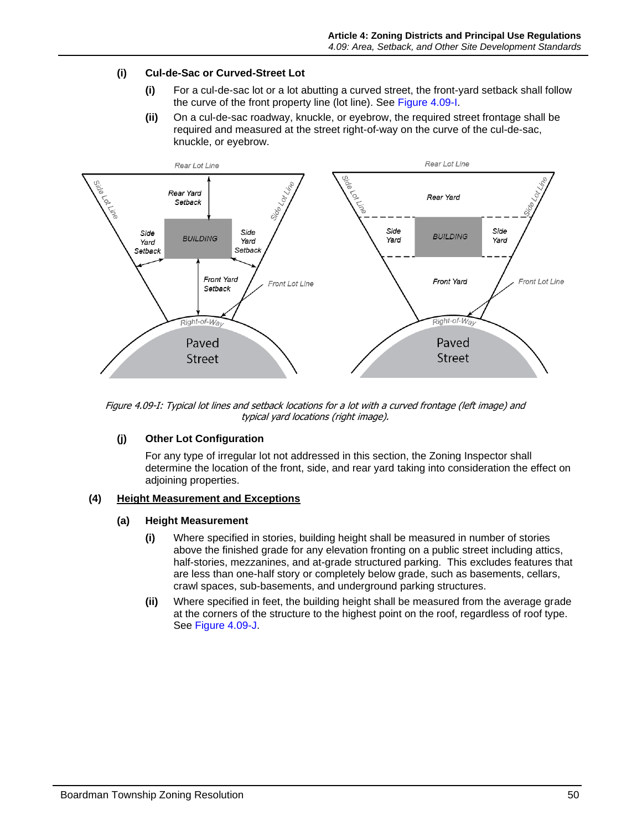# **(i) Cul-de-Sac or Curved-Street Lot**

- **(i)** For a cul-de-sac lot or a lot abutting a curved street, the front-yard setback shall follow the curve of the front property line (lot line). See [Figure 4.09-I.](#page-27-0)
- **(ii)** On a cul-de-sac roadway, knuckle, or eyebrow, the required street frontage shall be required and measured at the street right-of-way on the curve of the cul-de-sac, knuckle, or eyebrow.



<span id="page-27-0"></span>Figure 4.09-I: Typical lot lines and setback locations for a lot with a curved frontage (left image) and typical yard locations (right image).

# **(j) Other Lot Configuration**

For any type of irregular lot not addressed in this section, the Zoning Inspector shall determine the location of the front, side, and rear yard taking into consideration the effect on adjoining properties.

# **(4) Height Measurement and Exceptions**

# **(a) Height Measurement**

- **(i)** Where specified in stories, building height shall be measured in number of stories above the finished grade for any elevation fronting on a public street including attics, half-stories, mezzanines, and at-grade structured parking. This excludes features that are less than one-half story or completely below grade, such as basements, cellars, crawl spaces, sub-basements, and underground parking structures.
- **(ii)** Where specified in feet, the building height shall be measured from the average grade at the corners of the structure to the highest point on the roof, regardless of roof type. See [Figure 4.09-J.](#page-28-0)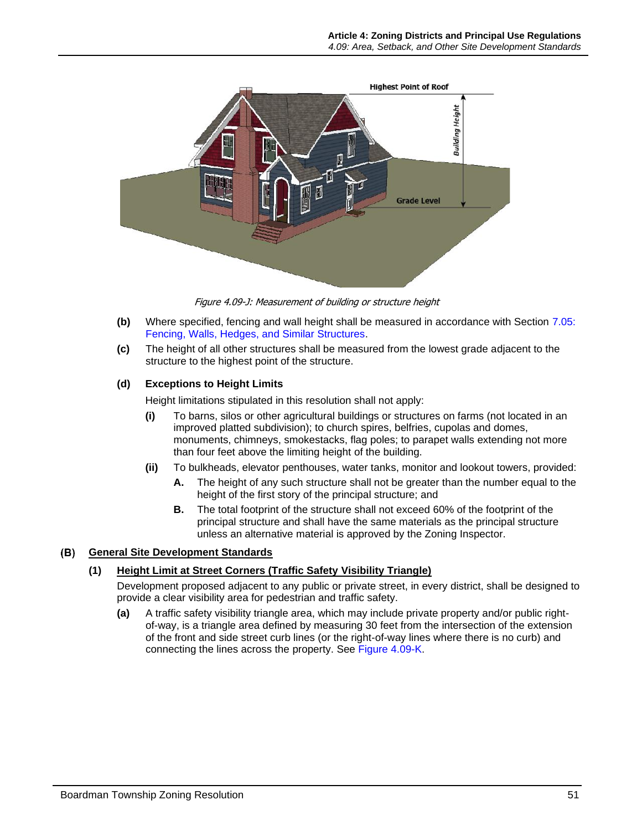

<span id="page-28-0"></span>Figure 4.09-J: Measurement of building or structure height

- **(b)** Where specified, fencing and wall height shall be measured in accordance with Section 7.05: Fencing, Walls, Hedges, and Similar Structures.
- **(c)** The height of all other structures shall be measured from the lowest grade adjacent to the structure to the highest point of the structure.

#### **(d) Exceptions to Height Limits**

Height limitations stipulated in this resolution shall not apply:

- **(i)** To barns, silos or other agricultural buildings or structures on farms (not located in an improved platted subdivision); to church spires, belfries, cupolas and domes, monuments, chimneys, smokestacks, flag poles; to parapet walls extending not more than four feet above the limiting height of the building.
- **(ii)** To bulkheads, elevator penthouses, water tanks, monitor and lookout towers, provided:
	- **A.** The height of any such structure shall not be greater than the number equal to the height of the first story of the principal structure; and
	- **B.** The total footprint of the structure shall not exceed 60% of the footprint of the principal structure and shall have the same materials as the principal structure unless an alternative material is approved by the Zoning Inspector.

#### **General Site Development Standards**

#### **(1) Height Limit at Street Corners (Traffic Safety Visibility Triangle)**

Development proposed adjacent to any public or private street, in every district, shall be designed to provide a clear visibility area for pedestrian and traffic safety.

**(a)** A traffic safety visibility triangle area, which may include private property and/or public rightof-way, is a triangle area defined by measuring 30 feet from the intersection of the extension of the front and side street curb lines (or the right-of-way lines where there is no curb) and connecting the lines across the property. See [Figure 4.09-K.](#page-29-1)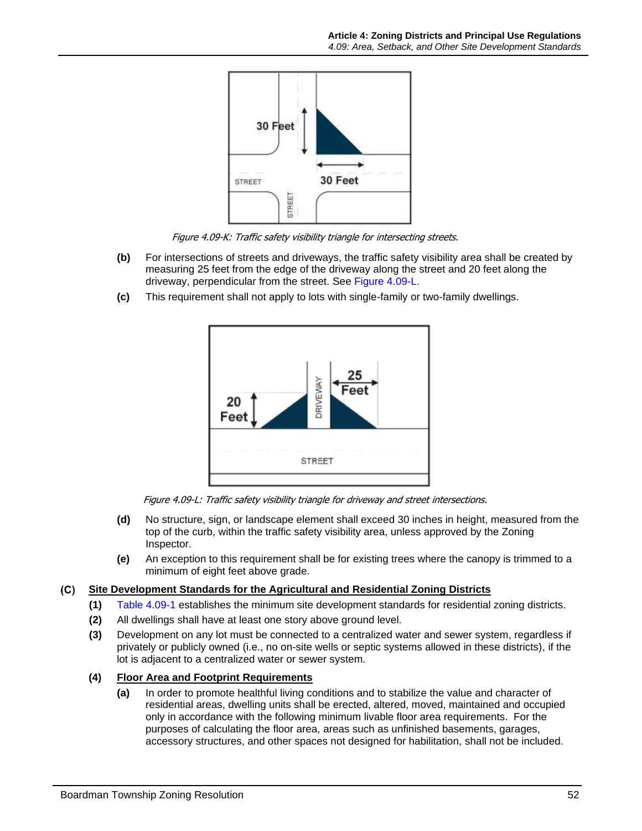

Figure 4.09-K: Traffic safety visibility triangle for intersecting streets.

- <span id="page-29-1"></span>**(b)** For intersections of streets and driveways, the traffic safety visibility area shall be created by measuring 25 feet from the edge of the driveway along the street and 20 feet along the driveway, perpendicular from the street. See [Figure 4.09-L.](#page-29-2)
- **(c)** This requirement shall not apply to lots with single-family or two-family dwellings.



Figure 4.09-L: Traffic safety visibility triangle for driveway and street intersections.

- <span id="page-29-2"></span>**(d)** No structure, sign, or landscape element shall exceed 30 inches in height, measured from the top of the curb, within the traffic safety visibility area, unless approved by the Zoning Inspector.
- **(e)** An exception to this requirement shall be for existing trees where the canopy is trimmed to a minimum of eight feet above grade.

#### <span id="page-29-0"></span> $(C)$ **Site Development Standards for the Agricultural and Residential Zoning Districts**

- **(1)** [Table 4.09-1](#page-30-0) establishes the minimum site development standards for residential zoning districts.
- **(2)** All dwellings shall have at least one story above ground level.
- **(3)** Development on any lot must be connected to a centralized water and sewer system, regardless if privately or publicly owned (i.e., no on-site wells or septic systems allowed in these districts), if the lot is adjacent to a centralized water or sewer system.
- **(4) Floor Area and Footprint Requirements**
	- **(a)** In order to promote healthful living conditions and to stabilize the value and character of residential areas, dwelling units shall be erected, altered, moved, maintained and occupied only in accordance with the following minimum livable floor area requirements. For the purposes of calculating the floor area, areas such as unfinished basements, garages, accessory structures, and other spaces not designed for habilitation, shall not be included.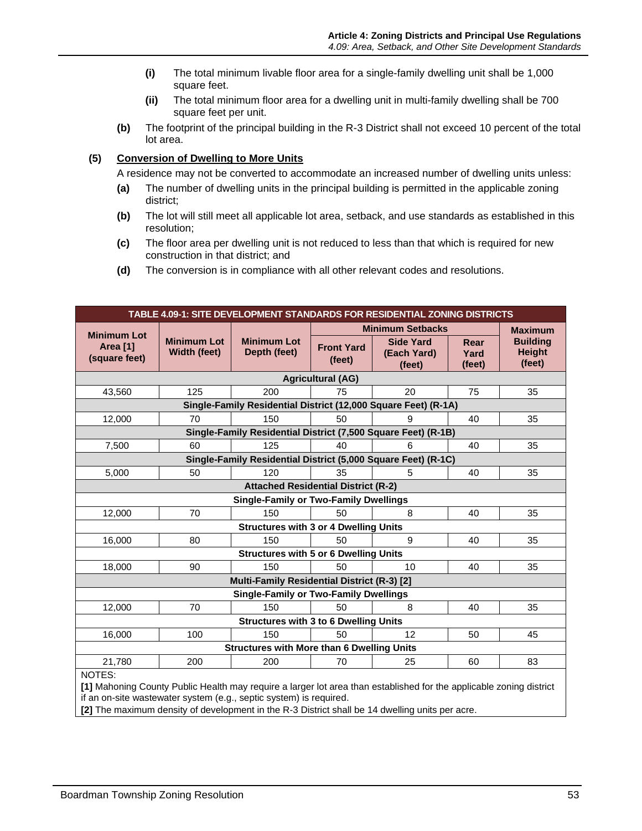- **(i)** The total minimum livable floor area for a single-family dwelling unit shall be 1,000 square feet.
- **(ii)** The total minimum floor area for a dwelling unit in multi-family dwelling shall be 700 square feet per unit.
- **(b)** The footprint of the principal building in the R-3 District shall not exceed 10 percent of the total lot area.

# **(5) Conversion of Dwelling to More Units**

A residence may not be converted to accommodate an increased number of dwelling units unless:

- **(a)** The number of dwelling units in the principal building is permitted in the applicable zoning district;
- **(b)** The lot will still meet all applicable lot area, setback, and use standards as established in this resolution;
- **(c)** The floor area per dwelling unit is not reduced to less than that which is required for new construction in that district; and
- **(d)** The conversion is in compliance with all other relevant codes and resolutions.

<span id="page-30-0"></span>

| TABLE 4.09-1: SITE DEVELOPMENT STANDARDS FOR RESIDENTIAL ZONING DISTRICTS |                                            |                                                   |                             |                                           |                        |                                            |  |  |  |  |  |
|---------------------------------------------------------------------------|--------------------------------------------|---------------------------------------------------|-----------------------------|-------------------------------------------|------------------------|--------------------------------------------|--|--|--|--|--|
|                                                                           |                                            |                                                   |                             | <b>Minimum Setbacks</b>                   |                        | <b>Maximum</b>                             |  |  |  |  |  |
| <b>Minimum Lot</b><br>Area [1]<br>(square feet)                           | <b>Minimum Lot</b><br>Width (feet)         | <b>Minimum Lot</b><br>Depth (feet)                | <b>Front Yard</b><br>(feet) | <b>Side Yard</b><br>(Each Yard)<br>(feet) | Rear<br>Yard<br>(feet) | <b>Building</b><br><b>Height</b><br>(feet) |  |  |  |  |  |
| <b>Agricultural (AG)</b>                                                  |                                            |                                                   |                             |                                           |                        |                                            |  |  |  |  |  |
| 43,560                                                                    | 125                                        | 200                                               | 75                          | 20                                        | 75                     | 35                                         |  |  |  |  |  |
| Single-Family Residential District (12,000 Square Feet) (R-1A)            |                                            |                                                   |                             |                                           |                        |                                            |  |  |  |  |  |
| 12,000                                                                    | 70                                         | 150                                               | 50                          | 9                                         | 40                     | 35                                         |  |  |  |  |  |
| Single-Family Residential District (7,500 Square Feet) (R-1B)             |                                            |                                                   |                             |                                           |                        |                                            |  |  |  |  |  |
| 7,500                                                                     | 60                                         | 125                                               | 40                          | 6                                         | 40                     | 35                                         |  |  |  |  |  |
| Single-Family Residential District (5,000 Square Feet) (R-1C)             |                                            |                                                   |                             |                                           |                        |                                            |  |  |  |  |  |
| 5,000                                                                     | 50                                         | 120                                               | 35                          | 5                                         | 40                     | 35                                         |  |  |  |  |  |
|                                                                           | <b>Attached Residential District (R-2)</b> |                                                   |                             |                                           |                        |                                            |  |  |  |  |  |
| <b>Single-Family or Two-Family Dwellings</b>                              |                                            |                                                   |                             |                                           |                        |                                            |  |  |  |  |  |
| 12,000                                                                    | 70                                         | 150                                               | 50                          | 8                                         | 40                     | 35                                         |  |  |  |  |  |
|                                                                           |                                            | <b>Structures with 3 or 4 Dwelling Units</b>      |                             |                                           |                        |                                            |  |  |  |  |  |
| 16,000                                                                    | 80                                         | 150                                               | 50                          | 9                                         | 40                     | 35                                         |  |  |  |  |  |
|                                                                           |                                            | <b>Structures with 5 or 6 Dwelling Units</b>      |                             |                                           |                        |                                            |  |  |  |  |  |
| 18,000                                                                    | 90                                         | 150                                               | 50                          | 10                                        | 40                     | 35                                         |  |  |  |  |  |
|                                                                           |                                            | Multi-Family Residential District (R-3) [2]       |                             |                                           |                        |                                            |  |  |  |  |  |
|                                                                           |                                            | <b>Single-Family or Two-Family Dwellings</b>      |                             |                                           |                        |                                            |  |  |  |  |  |
| 12,000                                                                    | 70                                         | 150                                               | 50                          | 8                                         | 40                     | 35                                         |  |  |  |  |  |
|                                                                           |                                            | <b>Structures with 3 to 6 Dwelling Units</b>      |                             |                                           |                        |                                            |  |  |  |  |  |
| 16,000                                                                    | 100                                        | 150                                               | 50                          | 12                                        | 50                     | 45                                         |  |  |  |  |  |
|                                                                           |                                            | <b>Structures with More than 6 Dwelling Units</b> |                             |                                           |                        |                                            |  |  |  |  |  |
| 21,780                                                                    | 200                                        | 200                                               | 70                          | 25                                        | 60                     | 83                                         |  |  |  |  |  |
| NOTES:                                                                    |                                            |                                                   |                             |                                           |                        |                                            |  |  |  |  |  |

**[1]** Mahoning County Public Health may require a larger lot area than established for the applicable zoning district if an on-site wastewater system (e.g., septic system) is required.

**[2]** The maximum density of development in the R-3 District shall be 14 dwelling units per acre.